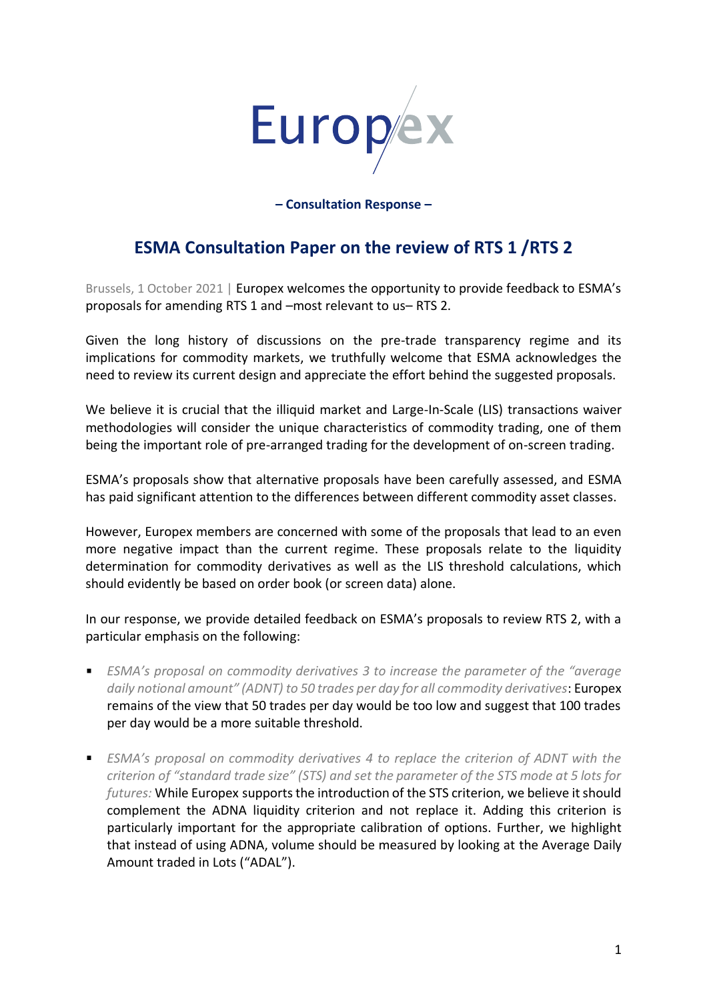

**– Consultation Response –**

# **ESMA Consultation Paper on the review of RTS 1 /RTS 2**

Brussels, 1 October 2021 | Europex welcomes the opportunity to provide feedback to ESMA's proposals for amending RTS 1 and –most relevant to us– RTS 2.

Given the long history of discussions on the pre-trade transparency regime and its implications for commodity markets, we truthfully welcome that ESMA acknowledges the need to review its current design and appreciate the effort behind the suggested proposals.

We believe it is crucial that the illiquid market and Large-In-Scale (LIS) transactions waiver methodologies will consider the unique characteristics of commodity trading, one of them being the important role of pre-arranged trading for the development of on-screen trading.

ESMA's proposals show that alternative proposals have been carefully assessed, and ESMA has paid significant attention to the differences between different commodity asset classes.

However, Europex members are concerned with some of the proposals that lead to an even more negative impact than the current regime. These proposals relate to the liquidity determination for commodity derivatives as well as the LIS threshold calculations, which should evidently be based on order book (or screen data) alone.

In our response, we provide detailed feedback on ESMA's proposals to review RTS 2, with a particular emphasis on the following:

- *ESMA's proposal on commodity derivatives 3 to increase the parameter of the "average daily notional amount" (ADNT) to 50 trades per day for all commodity derivatives*: Europex remains of the view that 50 trades per day would be too low and suggest that 100 trades per day would be a more suitable threshold.
- **ESMA's proposal on commodity derivatives 4 to replace the criterion of ADNT with the** *criterion of "standard trade size" (STS) and set the parameter of the STS mode at 5 lots for futures:* While Europex supports the introduction of the STS criterion, we believe it should complement the ADNA liquidity criterion and not replace it. Adding this criterion is particularly important for the appropriate calibration of options. Further, we highlight that instead of using ADNA, volume should be measured by looking at the Average Daily Amount traded in Lots ("ADAL").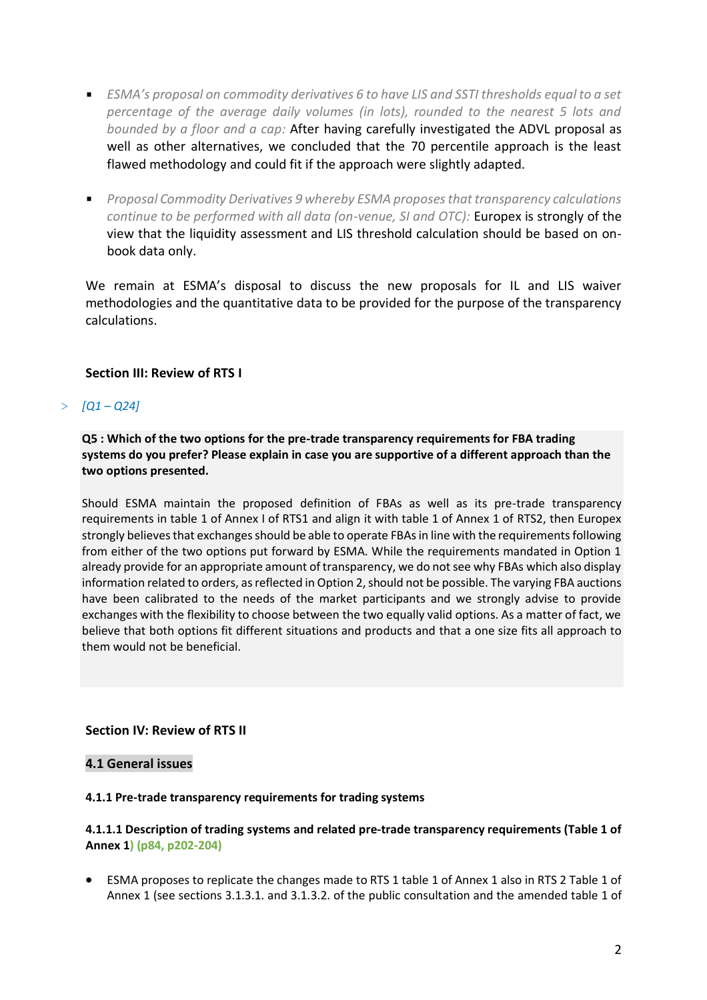- *ESMA's proposal on commodity derivatives 6 to have LIS and SSTI thresholds equal to a set percentage of the average daily volumes (in lots), rounded to the nearest 5 lots and bounded by a floor and a cap:* After having carefully investigated the ADVL proposal as well as other alternatives, we concluded that the 70 percentile approach is the least flawed methodology and could fit if the approach were slightly adapted.
- *Proposal Commodity Derivatives 9 whereby ESMA proposes that transparency calculations continue to be performed with all data (on-venue, SI and OTC):* Europex is strongly of the view that the liquidity assessment and LIS threshold calculation should be based on onbook data only.

We remain at ESMA's disposal to discuss the new proposals for IL and LIS waiver methodologies and the quantitative data to be provided for the purpose of the transparency calculations.

# **Section III: Review of RTS I**

# $>$  *[Q1-Q24]*

**Q5 : Which of the two options for the pre-trade transparency requirements for FBA trading systems do you prefer? Please explain in case you are supportive of a different approach than the two options presented.** 

Should ESMA maintain the proposed definition of FBAs as well as its pre-trade transparency requirements in table 1 of Annex I of RTS1 and align it with table 1 of Annex 1 of RTS2, then Europex strongly believes that exchanges should be able to operate FBAs in line with the requirements following from either of the two options put forward by ESMA. While the requirements mandated in Option 1 already provide for an appropriate amount of transparency, we do not see why FBAs which also display information related to orders, as reflected in Option 2, should not be possible. The varying FBA auctions have been calibrated to the needs of the market participants and we strongly advise to provide exchanges with the flexibility to choose between the two equally valid options. As a matter of fact, we believe that both options fit different situations and products and that a one size fits all approach to them would not be beneficial.

# **Section IV: Review of RTS II**

# **4.1 General issues**

#### **4.1.1 Pre-trade transparency requirements for trading systems**

# **4.1.1.1 Description of trading systems and related pre-trade transparency requirements (Table 1 of Annex 1) (p84, p202-204)**

• ESMA proposes to replicate the changes made to RTS 1 table 1 of Annex 1 also in RTS 2 Table 1 of Annex 1 (see sections 3.1.3.1. and 3.1.3.2. of the public consultation and the amended table 1 of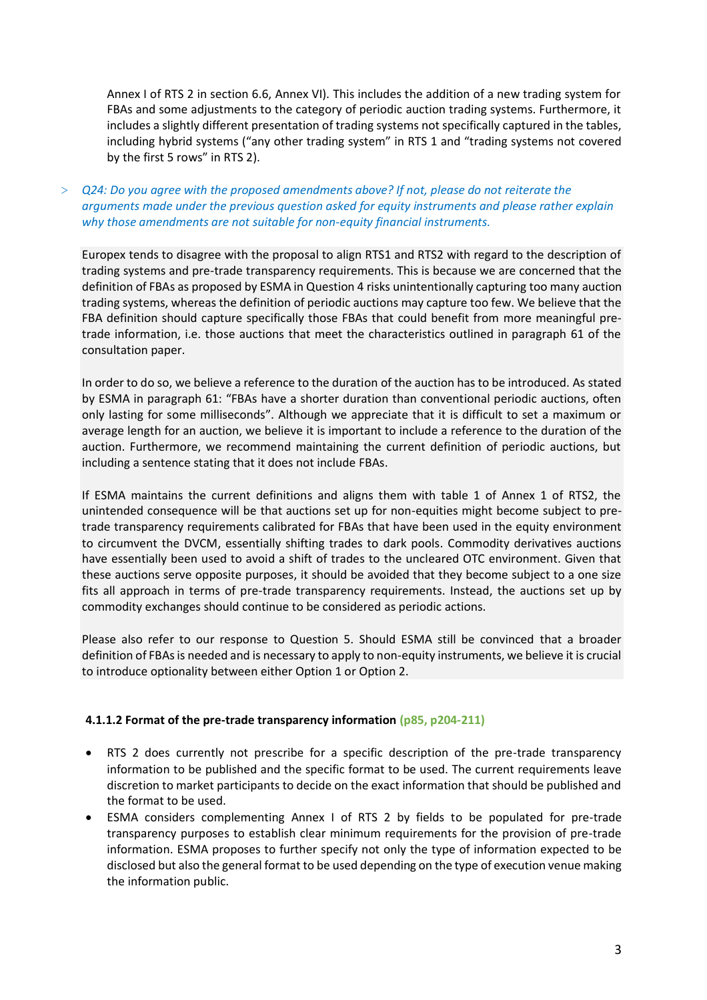Annex I of RTS 2 in section 6.6, Annex VI). This includes the addition of a new trading system for FBAs and some adjustments to the category of periodic auction trading systems. Furthermore, it includes a slightly different presentation of trading systems not specifically captured in the tables, including hybrid systems ("any other trading system" in RTS 1 and "trading systems not covered by the first 5 rows" in RTS 2).

> *Q24: Do you agree with the proposed amendments above? If not, please do not reiterate the arguments made under the previous question asked for equity instruments and please rather explain why those amendments are not suitable for non-equity financial instruments.* 

Europex tends to disagree with the proposal to align RTS1 and RTS2 with regard to the description of trading systems and pre-trade transparency requirements. This is because we are concerned that the definition of FBAs as proposed by ESMA in Question 4 risks unintentionally capturing too many auction trading systems, whereas the definition of periodic auctions may capture too few. We believe that the FBA definition should capture specifically those FBAs that could benefit from more meaningful pretrade information, i.e. those auctions that meet the characteristics outlined in paragraph 61 of the consultation paper.

In order to do so, we believe a reference to the duration of the auction has to be introduced. As stated by ESMA in paragraph 61: "FBAs have a shorter duration than conventional periodic auctions, often only lasting for some milliseconds". Although we appreciate that it is difficult to set a maximum or average length for an auction, we believe it is important to include a reference to the duration of the auction. Furthermore, we recommend maintaining the current definition of periodic auctions, but including a sentence stating that it does not include FBAs.

If ESMA maintains the current definitions and aligns them with table 1 of Annex 1 of RTS2, the unintended consequence will be that auctions set up for non-equities might become subject to pretrade transparency requirements calibrated for FBAs that have been used in the equity environment to circumvent the DVCM, essentially shifting trades to dark pools. Commodity derivatives auctions have essentially been used to avoid a shift of trades to the uncleared OTC environment. Given that these auctions serve opposite purposes, it should be avoided that they become subject to a one size fits all approach in terms of pre-trade transparency requirements. Instead, the auctions set up by commodity exchanges should continue to be considered as periodic actions.

Please also refer to our response to Question 5. Should ESMA still be convinced that a broader definition of FBAs is needed and is necessary to apply to non-equity instruments, we believe it is crucial to introduce optionality between either Option 1 or Option 2.

#### **4.1.1.2 Format of the pre-trade transparency information (p85, p204-211)**

- RTS 2 does currently not prescribe for a specific description of the pre-trade transparency information to be published and the specific format to be used. The current requirements leave discretion to market participants to decide on the exact information that should be published and the format to be used.
- ESMA considers complementing Annex I of RTS 2 by fields to be populated for pre-trade transparency purposes to establish clear minimum requirements for the provision of pre-trade information. ESMA proposes to further specify not only the type of information expected to be disclosed but also the general format to be used depending on the type of execution venue making the information public.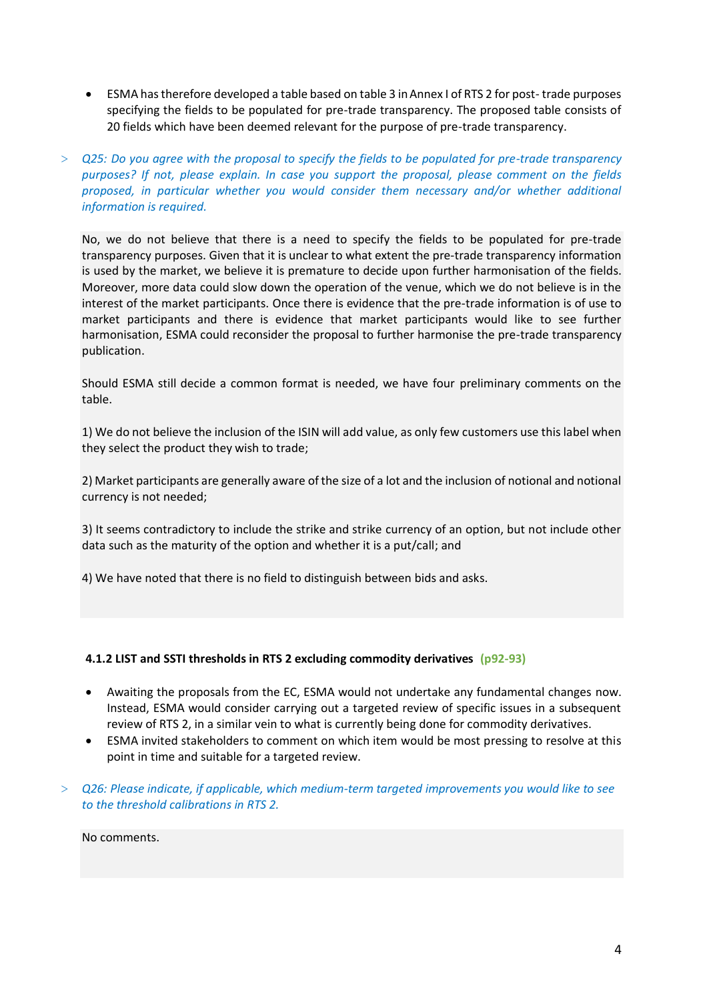- ESMA has therefore developed a table based on table 3 in Annex I of RTS 2 for post- trade purposes specifying the fields to be populated for pre-trade transparency. The proposed table consists of 20 fields which have been deemed relevant for the purpose of pre-trade transparency.
- > *Q25: Do you agree with the proposal to specify the fields to be populated for pre-trade transparency purposes? If not, please explain. In case you support the proposal, please comment on the fields proposed, in particular whether you would consider them necessary and/or whether additional information is required.*

No, we do not believe that there is a need to specify the fields to be populated for pre-trade transparency purposes. Given that it is unclear to what extent the pre-trade transparency information is used by the market, we believe it is premature to decide upon further harmonisation of the fields. Moreover, more data could slow down the operation of the venue, which we do not believe is in the interest of the market participants. Once there is evidence that the pre-trade information is of use to market participants and there is evidence that market participants would like to see further harmonisation, ESMA could reconsider the proposal to further harmonise the pre-trade transparency publication.

Should ESMA still decide a common format is needed, we have four preliminary comments on the table.

1) We do not believe the inclusion of the ISIN will add value, as only few customers use this label when they select the product they wish to trade;

2) Market participants are generally aware of the size of a lot and the inclusion of notional and notional currency is not needed;

3) It seems contradictory to include the strike and strike currency of an option, but not include other data such as the maturity of the option and whether it is a put/call; and

4) We have noted that there is no field to distinguish between bids and asks.

#### **4.1.2 LIST and SSTI thresholds in RTS 2 excluding commodity derivatives (p92-93)**

- Awaiting the proposals from the EC, ESMA would not undertake any fundamental changes now. Instead, ESMA would consider carrying out a targeted review of specific issues in a subsequent review of RTS 2, in a similar vein to what is currently being done for commodity derivatives.
- ESMA invited stakeholders to comment on which item would be most pressing to resolve at this point in time and suitable for a targeted review.
- > *Q26: Please indicate, if applicable, which medium-term targeted improvements you would like to see to the threshold calibrations in RTS 2.*

No comments.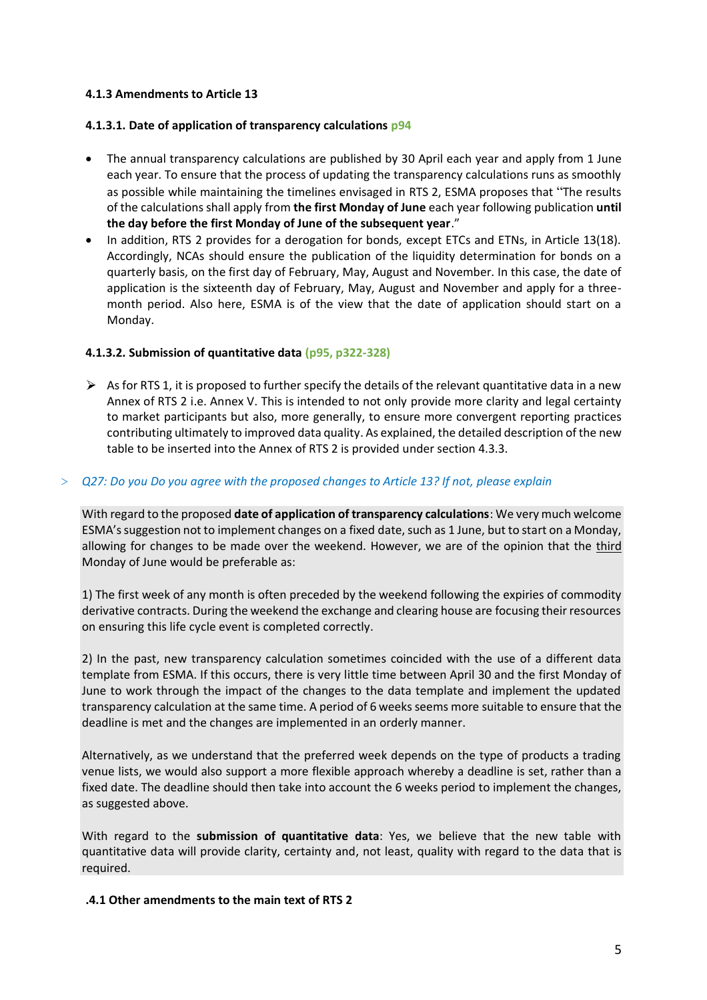### **4.1.3 Amendments to Article 13**

#### **4.1.3.1. Date of application of transparency calculations p94**

- The annual transparency calculations are published by 30 April each year and apply from 1 June each year. To ensure that the process of updating the transparency calculations runs as smoothly as possible while maintaining the timelines envisaged in RTS 2, ESMA proposes that "The results of the calculations shall apply from **the first Monday of June** each year following publication **until the day before the first Monday of June of the subsequent year**."
- In addition, RTS 2 provides for a derogation for bonds, except ETCs and ETNs, in Article 13(18). Accordingly, NCAs should ensure the publication of the liquidity determination for bonds on a quarterly basis, on the first day of February, May, August and November. In this case, the date of application is the sixteenth day of February, May, August and November and apply for a threemonth period. Also here, ESMA is of the view that the date of application should start on a Monday.

### **4.1.3.2. Submission of quantitative data (p95, p322-328)**

 $\triangleright$  As for RTS 1, it is proposed to further specify the details of the relevant quantitative data in a new Annex of RTS 2 i.e. Annex V. This is intended to not only provide more clarity and legal certainty to market participants but also, more generally, to ensure more convergent reporting practices contributing ultimately to improved data quality. As explained, the detailed description of the new table to be inserted into the Annex of RTS 2 is provided under section 4.3.3.

### > *Q27: Do you Do you agree with the proposed changes to Article 13? If not, please explain*

With regard to the proposed **date of application of transparency calculations**: We very much welcome ESMA's suggestion not to implement changes on a fixed date, such as 1 June, but to start on a Monday, allowing for changes to be made over the weekend. However, we are of the opinion that the third Monday of June would be preferable as:

1) The first week of any month is often preceded by the weekend following the expiries of commodity derivative contracts. During the weekend the exchange and clearing house are focusing their resources on ensuring this life cycle event is completed correctly.

2) In the past, new transparency calculation sometimes coincided with the use of a different data template from ESMA. If this occurs, there is very little time between April 30 and the first Monday of June to work through the impact of the changes to the data template and implement the updated transparency calculation at the same time. A period of 6 weeks seems more suitable to ensure that the deadline is met and the changes are implemented in an orderly manner.

Alternatively, as we understand that the preferred week depends on the type of products a trading venue lists, we would also support a more flexible approach whereby a deadline is set, rather than a fixed date. The deadline should then take into account the 6 weeks period to implement the changes, as suggested above.

With regard to the **submission of quantitative data**: Yes, we believe that the new table with quantitative data will provide clarity, certainty and, not least, quality with regard to the data that is required.

#### **.4.1 Other amendments to the main text of RTS 2**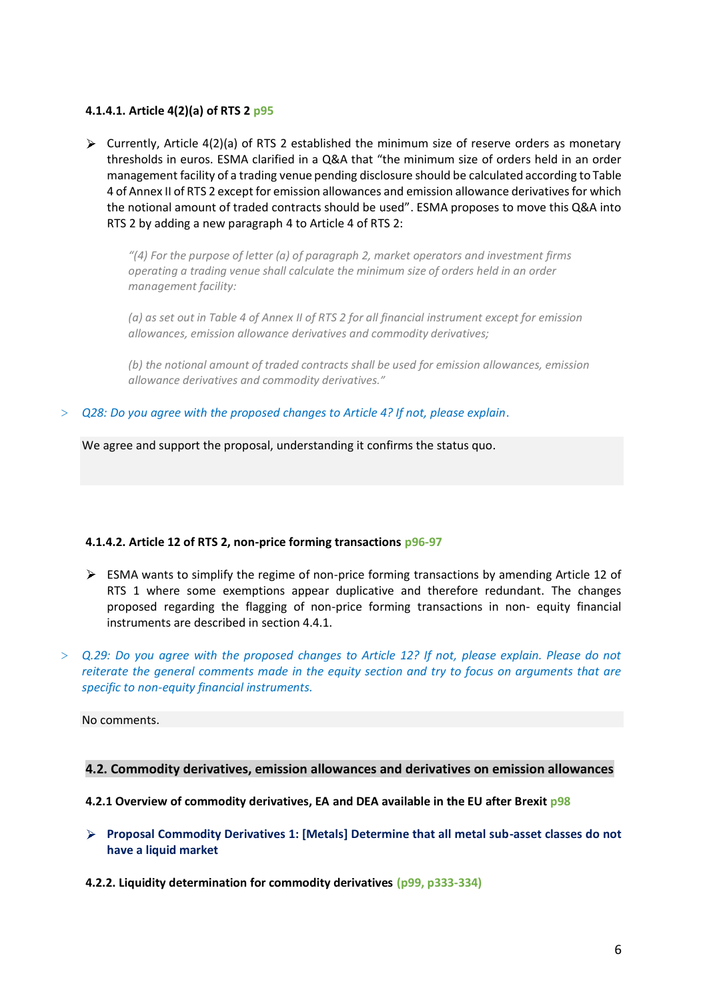#### **4.1.4.1. Article 4(2)(a) of RTS 2 p95**

 $\triangleright$  Currently, Article 4(2)(a) of RTS 2 established the minimum size of reserve orders as monetary thresholds in euros. ESMA clarified in a Q&A that "the minimum size of orders held in an order management facility of a trading venue pending disclosure should be calculated according to Table 4 of Annex II of RTS 2 except for emission allowances and emission allowance derivatives for which the notional amount of traded contracts should be used". ESMA proposes to move this Q&A into RTS 2 by adding a new paragraph 4 to Article 4 of RTS 2:

*"(4) For the purpose of letter (a) of paragraph 2, market operators and investment firms operating a trading venue shall calculate the minimum size of orders held in an order management facility:* 

*(a) as set out in Table 4 of Annex II of RTS 2 for all financial instrument except for emission allowances, emission allowance derivatives and commodity derivatives;* 

*(b) the notional amount of traded contracts shall be used for emission allowances, emission allowance derivatives and commodity derivatives."* 

> *Q28: Do you agree with the proposed changes to Article 4? If not, please explain*.

We agree and support the proposal, understanding it confirms the status quo.

#### **4.1.4.2. Article 12 of RTS 2, non-price forming transactions p96-97**

- $\triangleright$  ESMA wants to simplify the regime of non-price forming transactions by amending Article 12 of RTS 1 where some exemptions appear duplicative and therefore redundant. The changes proposed regarding the flagging of non-price forming transactions in non- equity financial instruments are described in section 4.4.1.
- > *Q.29: Do you agree with the proposed changes to Article 12? If not, please explain. Please do not reiterate the general comments made in the equity section and try to focus on arguments that are specific to non-equity financial instruments.*

#### No comments.

#### **4.2. Commodity derivatives, emission allowances and derivatives on emission allowances**

#### **4.2.1 Overview of commodity derivatives, EA and DEA available in the EU after Brexit p98**

- **Proposal Commodity Derivatives 1: [Metals] Determine that all metal sub-asset classes do not have a liquid market**
- **4.2.2. Liquidity determination for commodity derivatives (p99, p333-334)**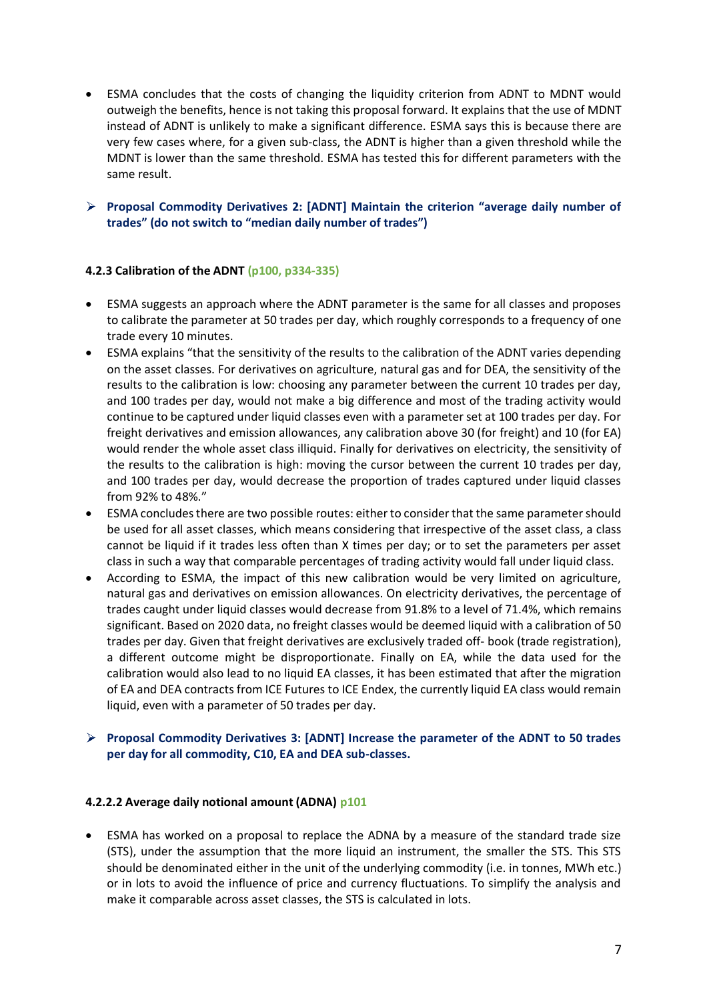- ESMA concludes that the costs of changing the liquidity criterion from ADNT to MDNT would outweigh the benefits, hence is not taking this proposal forward. It explains that the use of MDNT instead of ADNT is unlikely to make a significant difference. ESMA says this is because there are very few cases where, for a given sub-class, the ADNT is higher than a given threshold while the MDNT is lower than the same threshold. ESMA has tested this for different parameters with the same result.
- **Proposal Commodity Derivatives 2: [ADNT] Maintain the criterion "average daily number of trades" (do not switch to "median daily number of trades")**

### **4.2.3 Calibration of the ADNT (p100, p334-335)**

- ESMA suggests an approach where the ADNT parameter is the same for all classes and proposes to calibrate the parameter at 50 trades per day, which roughly corresponds to a frequency of one trade every 10 minutes.
- ESMA explains "that the sensitivity of the results to the calibration of the ADNT varies depending on the asset classes. For derivatives on agriculture, natural gas and for DEA, the sensitivity of the results to the calibration is low: choosing any parameter between the current 10 trades per day, and 100 trades per day, would not make a big difference and most of the trading activity would continue to be captured under liquid classes even with a parameter set at 100 trades per day. For freight derivatives and emission allowances, any calibration above 30 (for freight) and 10 (for EA) would render the whole asset class illiquid. Finally for derivatives on electricity, the sensitivity of the results to the calibration is high: moving the cursor between the current 10 trades per day, and 100 trades per day, would decrease the proportion of trades captured under liquid classes from 92% to 48%."
- ESMA concludes there are two possible routes: either to consider that the same parameter should be used for all asset classes, which means considering that irrespective of the asset class, a class cannot be liquid if it trades less often than X times per day; or to set the parameters per asset class in such a way that comparable percentages of trading activity would fall under liquid class.
- According to ESMA, the impact of this new calibration would be very limited on agriculture, natural gas and derivatives on emission allowances. On electricity derivatives, the percentage of trades caught under liquid classes would decrease from 91.8% to a level of 71.4%, which remains significant. Based on 2020 data, no freight classes would be deemed liquid with a calibration of 50 trades per day. Given that freight derivatives are exclusively traded off- book (trade registration), a different outcome might be disproportionate. Finally on EA, while the data used for the calibration would also lead to no liquid EA classes, it has been estimated that after the migration of EA and DEA contracts from ICE Futures to ICE Endex, the currently liquid EA class would remain liquid, even with a parameter of 50 trades per day.

### **Proposal Commodity Derivatives 3: [ADNT] Increase the parameter of the ADNT to 50 trades per day for all commodity, C10, EA and DEA sub-classes.**

#### **4.2.2.2 Average daily notional amount (ADNA) p101**

• ESMA has worked on a proposal to replace the ADNA by a measure of the standard trade size (STS), under the assumption that the more liquid an instrument, the smaller the STS. This STS should be denominated either in the unit of the underlying commodity (i.e. in tonnes, MWh etc.) or in lots to avoid the influence of price and currency fluctuations. To simplify the analysis and make it comparable across asset classes, the STS is calculated in lots.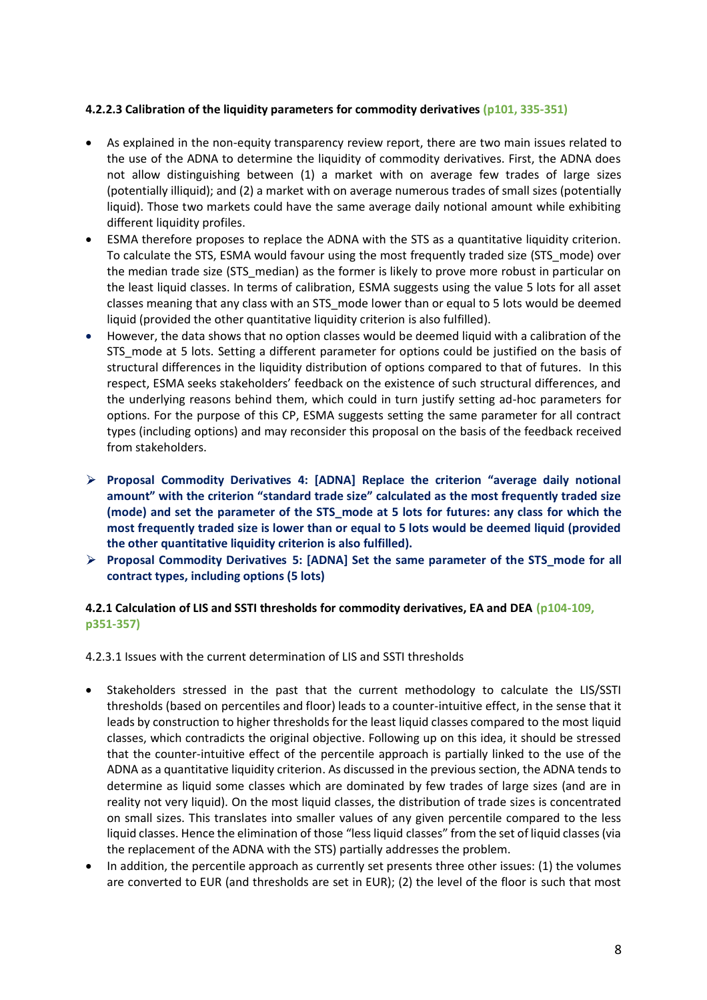### **4.2.2.3 Calibration of the liquidity parameters for commodity derivatives (p101, 335-351)**

- As explained in the non-equity transparency review report, there are two main issues related to the use of the ADNA to determine the liquidity of commodity derivatives. First, the ADNA does not allow distinguishing between (1) a market with on average few trades of large sizes (potentially illiquid); and (2) a market with on average numerous trades of small sizes (potentially liquid). Those two markets could have the same average daily notional amount while exhibiting different liquidity profiles.
- ESMA therefore proposes to replace the ADNA with the STS as a quantitative liquidity criterion. To calculate the STS, ESMA would favour using the most frequently traded size (STS\_mode) over the median trade size (STS median) as the former is likely to prove more robust in particular on the least liquid classes. In terms of calibration, ESMA suggests using the value 5 lots for all asset classes meaning that any class with an STS\_mode lower than or equal to 5 lots would be deemed liquid (provided the other quantitative liquidity criterion is also fulfilled).
- However, the data shows that no option classes would be deemed liquid with a calibration of the STS\_mode at 5 lots. Setting a different parameter for options could be justified on the basis of structural differences in the liquidity distribution of options compared to that of futures. In this respect, ESMA seeks stakeholders' feedback on the existence of such structural differences, and the underlying reasons behind them, which could in turn justify setting ad-hoc parameters for options. For the purpose of this CP, ESMA suggests setting the same parameter for all contract types (including options) and may reconsider this proposal on the basis of the feedback received from stakeholders.
- **Proposal Commodity Derivatives 4: [ADNA] Replace the criterion "average daily notional amount" with the criterion "standard trade size" calculated as the most frequently traded size (mode) and set the parameter of the STS\_mode at 5 lots for futures: any class for which the most frequently traded size is lower than or equal to 5 lots would be deemed liquid (provided the other quantitative liquidity criterion is also fulfilled).**
- **Proposal Commodity Derivatives 5: [ADNA] Set the same parameter of the STS\_mode for all contract types, including options (5 lots)**

# **4.2.1 Calculation of LIS and SSTI thresholds for commodity derivatives, EA and DEA (p104-109, p351-357)**

4.2.3.1 Issues with the current determination of LIS and SSTI thresholds

- Stakeholders stressed in the past that the current methodology to calculate the LIS/SSTI thresholds (based on percentiles and floor) leads to a counter-intuitive effect, in the sense that it leads by construction to higher thresholds for the least liquid classes compared to the most liquid classes, which contradicts the original objective. Following up on this idea, it should be stressed that the counter-intuitive effect of the percentile approach is partially linked to the use of the ADNA as a quantitative liquidity criterion. As discussed in the previous section, the ADNA tends to determine as liquid some classes which are dominated by few trades of large sizes (and are in reality not very liquid). On the most liquid classes, the distribution of trade sizes is concentrated on small sizes. This translates into smaller values of any given percentile compared to the less liquid classes. Hence the elimination of those "less liquid classes" from the set of liquid classes (via the replacement of the ADNA with the STS) partially addresses the problem.
- In addition, the percentile approach as currently set presents three other issues: (1) the volumes are converted to EUR (and thresholds are set in EUR); (2) the level of the floor is such that most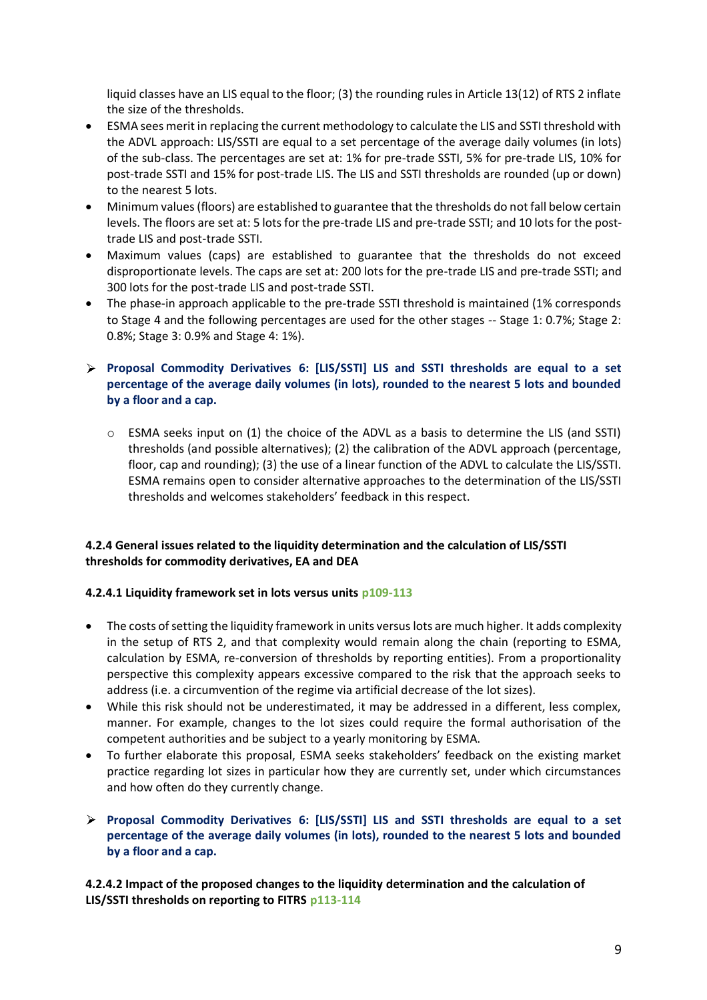liquid classes have an LIS equal to the floor; (3) the rounding rules in Article 13(12) of RTS 2 inflate the size of the thresholds.

- ESMA sees merit in replacing the current methodology to calculate the LIS and SSTI threshold with the ADVL approach: LIS/SSTI are equal to a set percentage of the average daily volumes (in lots) of the sub-class. The percentages are set at: 1% for pre-trade SSTI, 5% for pre-trade LIS, 10% for post-trade SSTI and 15% for post-trade LIS. The LIS and SSTI thresholds are rounded (up or down) to the nearest 5 lots.
- Minimum values (floors) are established to guarantee that the thresholds do not fall below certain levels. The floors are set at: 5 lots for the pre-trade LIS and pre-trade SSTI; and 10 lots for the posttrade LIS and post-trade SSTI.
- Maximum values (caps) are established to guarantee that the thresholds do not exceed disproportionate levels. The caps are set at: 200 lots for the pre-trade LIS and pre-trade SSTI; and 300 lots for the post-trade LIS and post-trade SSTI.
- The phase-in approach applicable to the pre-trade SSTI threshold is maintained (1% corresponds to Stage 4 and the following percentages are used for the other stages -- Stage 1: 0.7%; Stage 2: 0.8%; Stage 3: 0.9% and Stage 4: 1%).
- **Proposal Commodity Derivatives 6: [LIS/SSTI] LIS and SSTI thresholds are equal to a set percentage of the average daily volumes (in lots), rounded to the nearest 5 lots and bounded by a floor and a cap.**
	- $\circ$  ESMA seeks input on (1) the choice of the ADVL as a basis to determine the LIS (and SSTI) thresholds (and possible alternatives); (2) the calibration of the ADVL approach (percentage, floor, cap and rounding); (3) the use of a linear function of the ADVL to calculate the LIS/SSTI. ESMA remains open to consider alternative approaches to the determination of the LIS/SSTI thresholds and welcomes stakeholders' feedback in this respect.

# **4.2.4 General issues related to the liquidity determination and the calculation of LIS/SSTI thresholds for commodity derivatives, EA and DEA**

# **4.2.4.1 Liquidity framework set in lots versus units p109-113**

- The costs of setting the liquidity framework in units versus lots are much higher. It adds complexity in the setup of RTS 2, and that complexity would remain along the chain (reporting to ESMA, calculation by ESMA, re-conversion of thresholds by reporting entities). From a proportionality perspective this complexity appears excessive compared to the risk that the approach seeks to address (i.e. a circumvention of the regime via artificial decrease of the lot sizes).
- While this risk should not be underestimated, it may be addressed in a different, less complex, manner. For example, changes to the lot sizes could require the formal authorisation of the competent authorities and be subject to a yearly monitoring by ESMA.
- To further elaborate this proposal, ESMA seeks stakeholders' feedback on the existing market practice regarding lot sizes in particular how they are currently set, under which circumstances and how often do they currently change.
- **Proposal Commodity Derivatives 6: [LIS/SSTI] LIS and SSTI thresholds are equal to a set percentage of the average daily volumes (in lots), rounded to the nearest 5 lots and bounded by a floor and a cap.**

**4.2.4.2 Impact of the proposed changes to the liquidity determination and the calculation of LIS/SSTI thresholds on reporting to FITRS p113-114**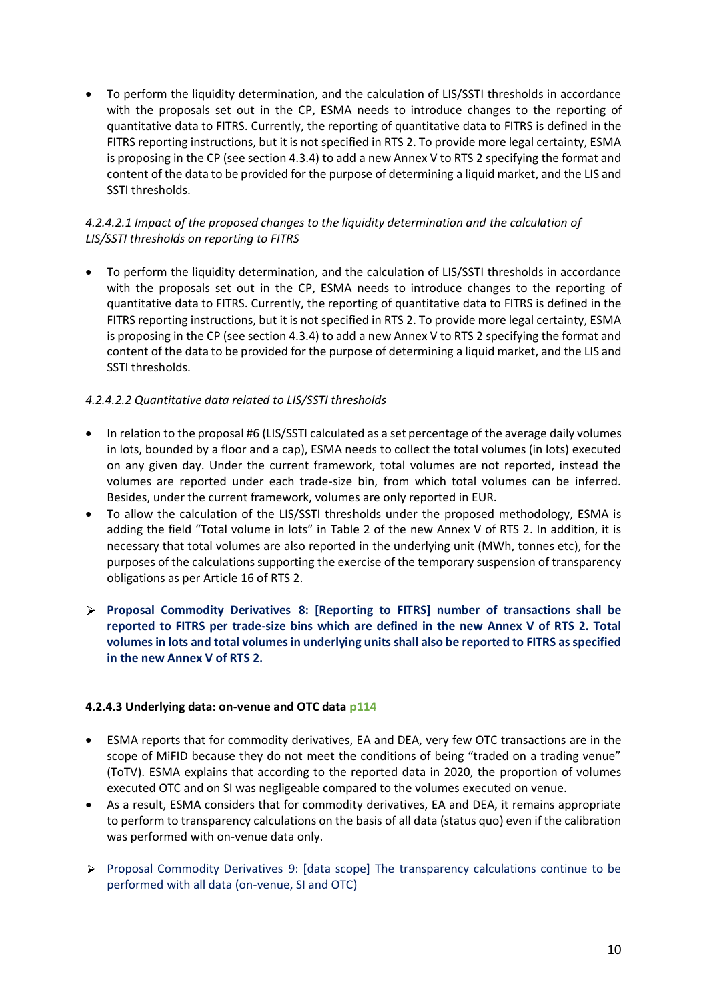• To perform the liquidity determination, and the calculation of LIS/SSTI thresholds in accordance with the proposals set out in the CP, ESMA needs to introduce changes to the reporting of quantitative data to FITRS. Currently, the reporting of quantitative data to FITRS is defined in the FITRS reporting instructions, but it is not specified in RTS 2. To provide more legal certainty, ESMA is proposing in the CP (see section 4.3.4) to add a new Annex V to RTS 2 specifying the format and content of the data to be provided for the purpose of determining a liquid market, and the LIS and SSTI thresholds.

# *4.2.4.2.1 Impact of the proposed changes to the liquidity determination and the calculation of LIS/SSTI thresholds on reporting to FITRS*

• To perform the liquidity determination, and the calculation of LIS/SSTI thresholds in accordance with the proposals set out in the CP, ESMA needs to introduce changes to the reporting of quantitative data to FITRS. Currently, the reporting of quantitative data to FITRS is defined in the FITRS reporting instructions, but it is not specified in RTS 2. To provide more legal certainty, ESMA is proposing in the CP (see section 4.3.4) to add a new Annex V to RTS 2 specifying the format and content of the data to be provided for the purpose of determining a liquid market, and the LIS and SSTI thresholds.

# *4.2.4.2.2 Quantitative data related to LIS/SSTI thresholds*

- In relation to the proposal #6 (LIS/SSTI calculated as a set percentage of the average daily volumes in lots, bounded by a floor and a cap), ESMA needs to collect the total volumes (in lots) executed on any given day. Under the current framework, total volumes are not reported, instead the volumes are reported under each trade-size bin, from which total volumes can be inferred. Besides, under the current framework, volumes are only reported in EUR.
- To allow the calculation of the LIS/SSTI thresholds under the proposed methodology, ESMA is adding the field "Total volume in lots" in Table 2 of the new Annex V of RTS 2. In addition, it is necessary that total volumes are also reported in the underlying unit (MWh, tonnes etc), for the purposes of the calculations supporting the exercise of the temporary suspension of transparency obligations as per Article 16 of RTS 2.
- **Proposal Commodity Derivatives 8: [Reporting to FITRS] number of transactions shall be reported to FITRS per trade-size bins which are defined in the new Annex V of RTS 2. Total volumes in lots and total volumes in underlying units shall also be reported to FITRS as specified in the new Annex V of RTS 2.**

# **4.2.4.3 Underlying data: on-venue and OTC data p114**

- ESMA reports that for commodity derivatives, EA and DEA, very few OTC transactions are in the scope of MiFID because they do not meet the conditions of being "traded on a trading venue" (ToTV). ESMA explains that according to the reported data in 2020, the proportion of volumes executed OTC and on SI was negligeable compared to the volumes executed on venue.
- As a result, ESMA considers that for commodity derivatives, EA and DEA, it remains appropriate to perform to transparency calculations on the basis of all data (status quo) even if the calibration was performed with on-venue data only.
- $\triangleright$  Proposal Commodity Derivatives 9: [data scope] The transparency calculations continue to be performed with all data (on-venue, SI and OTC)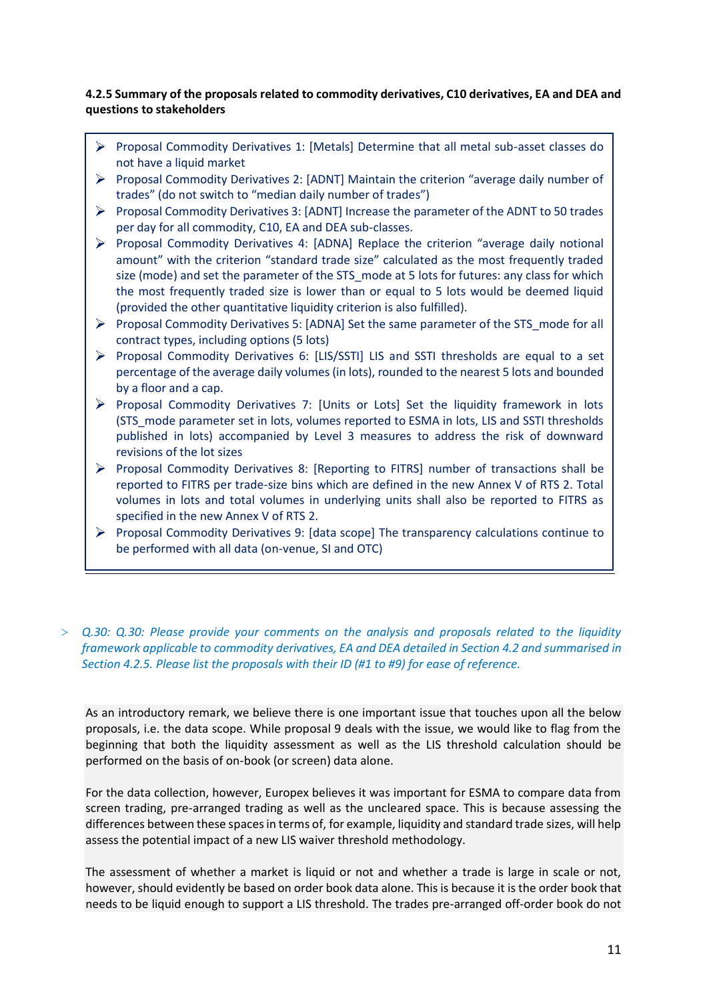### **4.2.5 Summary of the proposals related to commodity derivatives, C10 derivatives, EA and DEA and questions to stakeholders**

- Proposal Commodity Derivatives 1: [Metals] Determine that all metal sub-asset classes do not have a liquid market
- **Proposal Commodity Derivatives 2: [ADNT] Maintain the criterion "average daily number of** trades" (do not switch to "median daily number of trades")
- Proposal Commodity Derivatives 3: [ADNT] Increase the parameter of the ADNT to 50 trades per day for all commodity, C10, EA and DEA sub-classes.
- $\triangleright$  Proposal Commodity Derivatives 4: [ADNA] Replace the criterion "average daily notional amount" with the criterion "standard trade size" calculated as the most frequently traded size (mode) and set the parameter of the STS mode at 5 lots for futures: any class for which the most frequently traded size is lower than or equal to 5 lots would be deemed liquid (provided the other quantitative liquidity criterion is also fulfilled).
- Proposal Commodity Derivatives 5: [ADNA] Set the same parameter of the STS\_mode for all contract types, including options (5 lots)
- Proposal Commodity Derivatives 6: [LIS/SSTI] LIS and SSTI thresholds are equal to a set percentage of the average daily volumes (in lots), rounded to the nearest 5 lots and bounded by a floor and a cap.
- $\triangleright$  Proposal Commodity Derivatives 7: [Units or Lots] Set the liquidity framework in lots (STS\_mode parameter set in lots, volumes reported to ESMA in lots, LIS and SSTI thresholds published in lots) accompanied by Level 3 measures to address the risk of downward revisions of the lot sizes
- **Proposal Commodity Derivatives 8: [Reporting to FITRS] number of transactions shall be** reported to FITRS per trade-size bins which are defined in the new Annex V of RTS 2. Total volumes in lots and total volumes in underlying units shall also be reported to FITRS as specified in the new Annex V of RTS 2.
- Proposal Commodity Derivatives 9: [data scope] The transparency calculations continue to be performed with all data (on-venue, SI and OTC)
- > *Q.30: Q.30: Please provide your comments on the analysis and proposals related to the liquidity framework applicable to commodity derivatives, EA and DEA detailed in Section 4.2 and summarised in Section 4.2.5. Please list the proposals with their ID (#1 to #9) for ease of reference.*

As an introductory remark, we believe there is one important issue that touches upon all the below proposals, i.e. the data scope. While proposal 9 deals with the issue, we would like to flag from the beginning that both the liquidity assessment as well as the LIS threshold calculation should be performed on the basis of on-book (or screen) data alone.

For the data collection, however, Europex believes it was important for ESMA to compare data from screen trading, pre-arranged trading as well as the uncleared space. This is because assessing the differences between these spaces in terms of, for example, liquidity and standard trade sizes, will help assess the potential impact of a new LIS waiver threshold methodology.

The assessment of whether a market is liquid or not and whether a trade is large in scale or not, however, should evidently be based on order book data alone. This is because it is the order book that needs to be liquid enough to support a LIS threshold. The trades pre-arranged off-order book do not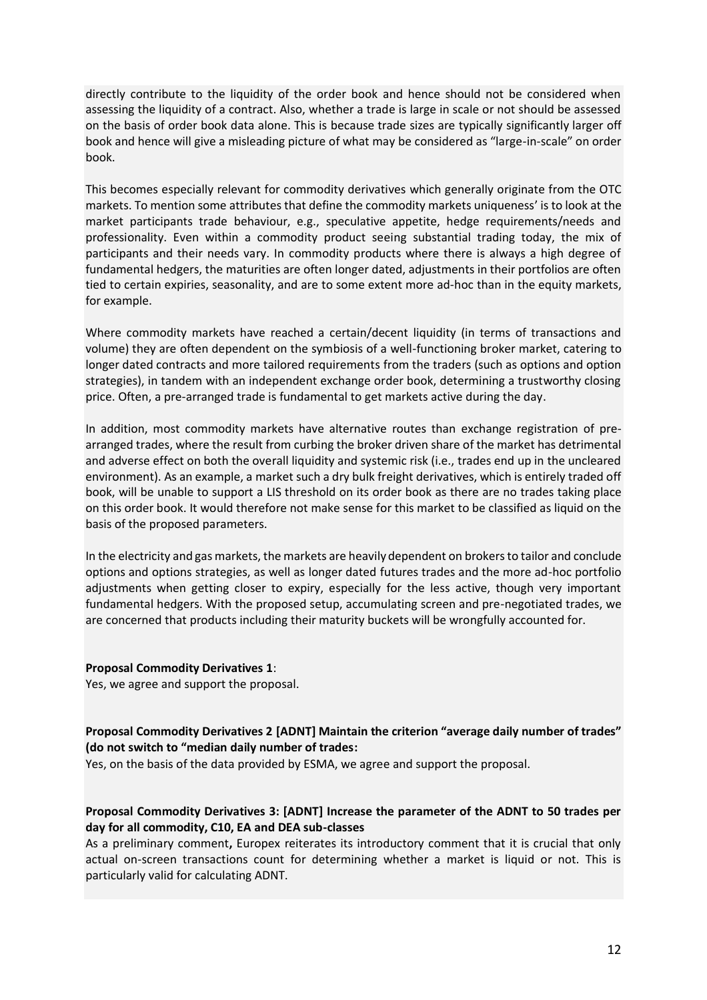directly contribute to the liquidity of the order book and hence should not be considered when assessing the liquidity of a contract. Also, whether a trade is large in scale or not should be assessed on the basis of order book data alone. This is because trade sizes are typically significantly larger off book and hence will give a misleading picture of what may be considered as "large-in-scale" on order book.

This becomes especially relevant for commodity derivatives which generally originate from the OTC markets. To mention some attributes that define the commodity markets uniqueness' is to look at the market participants trade behaviour, e.g., speculative appetite, hedge requirements/needs and professionality. Even within a commodity product seeing substantial trading today, the mix of participants and their needs vary. In commodity products where there is always a high degree of fundamental hedgers, the maturities are often longer dated, adjustments in their portfolios are often tied to certain expiries, seasonality, and are to some extent more ad-hoc than in the equity markets, for example.

Where commodity markets have reached a certain/decent liquidity (in terms of transactions and volume) they are often dependent on the symbiosis of a well-functioning broker market, catering to longer dated contracts and more tailored requirements from the traders (such as options and option strategies), in tandem with an independent exchange order book, determining a trustworthy closing price. Often, a pre-arranged trade is fundamental to get markets active during the day.

In addition, most commodity markets have alternative routes than exchange registration of prearranged trades, where the result from curbing the broker driven share of the market has detrimental and adverse effect on both the overall liquidity and systemic risk (i.e., trades end up in the uncleared environment). As an example, a market such a dry bulk freight derivatives, which is entirely traded off book, will be unable to support a LIS threshold on its order book as there are no trades taking place on this order book. It would therefore not make sense for this market to be classified as liquid on the basis of the proposed parameters.

In the electricity and gas markets, the markets are heavily dependent on brokers to tailor and conclude options and options strategies, as well as longer dated futures trades and the more ad-hoc portfolio adjustments when getting closer to expiry, especially for the less active, though very important fundamental hedgers. With the proposed setup, accumulating screen and pre-negotiated trades, we are concerned that products including their maturity buckets will be wrongfully accounted for.

#### **Proposal Commodity Derivatives 1**:

Yes, we agree and support the proposal.

#### **Proposal Commodity Derivatives 2 [ADNT] Maintain the criterion "average daily number of trades" (do not switch to "median daily number of trades:**

Yes, on the basis of the data provided by ESMA, we agree and support the proposal.

# **Proposal Commodity Derivatives 3: [ADNT] Increase the parameter of the ADNT to 50 trades per day for all commodity, C10, EA and DEA sub-classes**

As a preliminary comment**,** Europex reiterates its introductory comment that it is crucial that only actual on-screen transactions count for determining whether a market is liquid or not. This is particularly valid for calculating ADNT.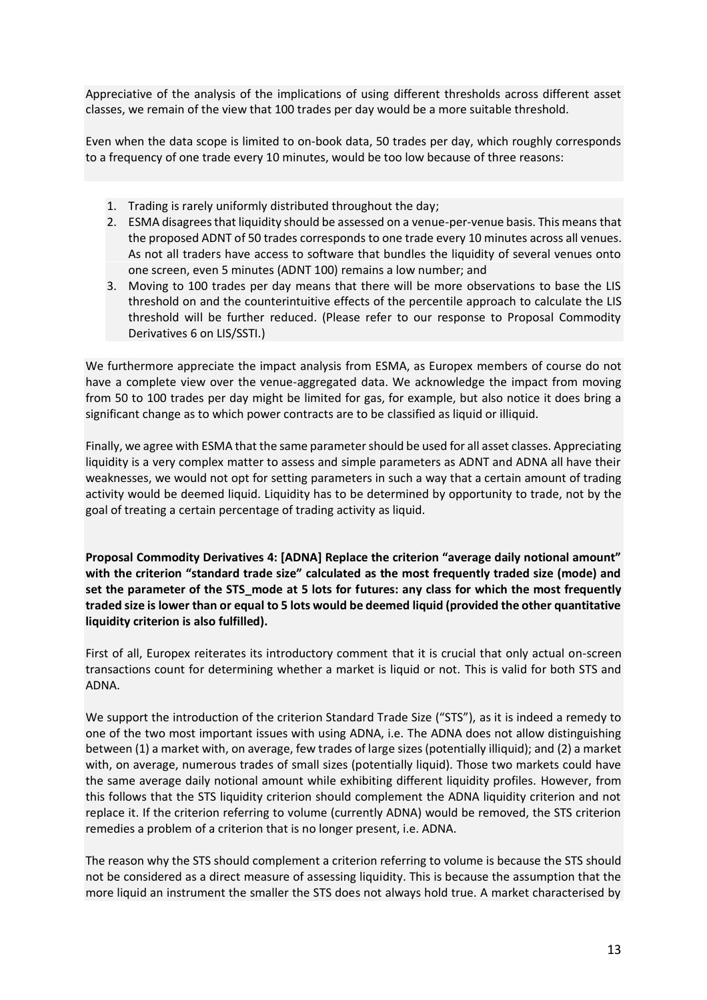Appreciative of the analysis of the implications of using different thresholds across different asset classes, we remain of the view that 100 trades per day would be a more suitable threshold.

Even when the data scope is limited to on-book data, 50 trades per day, which roughly corresponds to a frequency of one trade every 10 minutes, would be too low because of three reasons:

- 1. Trading is rarely uniformly distributed throughout the day;
- 2. ESMA disagrees that liquidity should be assessed on a venue-per-venue basis. This means that the proposed ADNT of 50 trades corresponds to one trade every 10 minutes across all venues. As not all traders have access to software that bundles the liquidity of several venues onto one screen, even 5 minutes (ADNT 100) remains a low number; and
- 3. Moving to 100 trades per day means that there will be more observations to base the LIS threshold on and the counterintuitive effects of the percentile approach to calculate the LIS threshold will be further reduced. (Please refer to our response to Proposal Commodity Derivatives 6 on LIS/SSTI.)

We furthermore appreciate the impact analysis from ESMA, as Europex members of course do not have a complete view over the venue-aggregated data. We acknowledge the impact from moving from 50 to 100 trades per day might be limited for gas, for example, but also notice it does bring a significant change as to which power contracts are to be classified as liquid or illiquid.

Finally, we agree with ESMA that the same parameter should be used for all asset classes. Appreciating liquidity is a very complex matter to assess and simple parameters as ADNT and ADNA all have their weaknesses, we would not opt for setting parameters in such a way that a certain amount of trading activity would be deemed liquid. Liquidity has to be determined by opportunity to trade, not by the goal of treating a certain percentage of trading activity as liquid.

**Proposal Commodity Derivatives 4: [ADNA] Replace the criterion "average daily notional amount" with the criterion "standard trade size" calculated as the most frequently traded size (mode) and set the parameter of the STS\_mode at 5 lots for futures: any class for which the most frequently traded size is lower than or equal to 5 lots would be deemed liquid (provided the other quantitative liquidity criterion is also fulfilled).**

First of all, Europex reiterates its introductory comment that it is crucial that only actual on-screen transactions count for determining whether a market is liquid or not. This is valid for both STS and ADNA.

We support the introduction of the criterion Standard Trade Size ("STS"), as it is indeed a remedy to one of the two most important issues with using ADNA, i.e. The ADNA does not allow distinguishing between (1) a market with, on average, few trades of large sizes (potentially illiquid); and (2) a market with, on average, numerous trades of small sizes (potentially liquid). Those two markets could have the same average daily notional amount while exhibiting different liquidity profiles. However, from this follows that the STS liquidity criterion should complement the ADNA liquidity criterion and not replace it. If the criterion referring to volume (currently ADNA) would be removed, the STS criterion remedies a problem of a criterion that is no longer present, i.e. ADNA.

The reason why the STS should complement a criterion referring to volume is because the STS should not be considered as a direct measure of assessing liquidity. This is because the assumption that the more liquid an instrument the smaller the STS does not always hold true. A market characterised by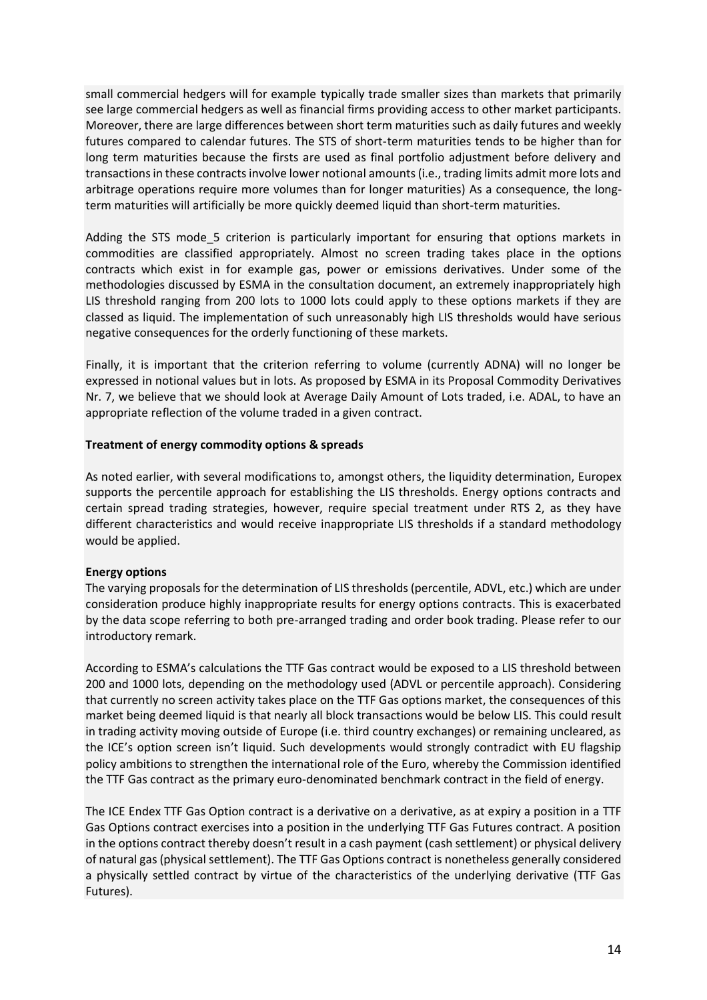small commercial hedgers will for example typically trade smaller sizes than markets that primarily see large commercial hedgers as well as financial firms providing access to other market participants. Moreover, there are large differences between short term maturities such as daily futures and weekly futures compared to calendar futures. The STS of short-term maturities tends to be higher than for long term maturities because the firsts are used as final portfolio adjustment before delivery and transactions in these contracts involve lower notional amounts (i.e., trading limits admit more lots and arbitrage operations require more volumes than for longer maturities) As a consequence, the longterm maturities will artificially be more quickly deemed liquid than short-term maturities.

Adding the STS mode 5 criterion is particularly important for ensuring that options markets in commodities are classified appropriately. Almost no screen trading takes place in the options contracts which exist in for example gas, power or emissions derivatives. Under some of the methodologies discussed by ESMA in the consultation document, an extremely inappropriately high LIS threshold ranging from 200 lots to 1000 lots could apply to these options markets if they are classed as liquid. The implementation of such unreasonably high LIS thresholds would have serious negative consequences for the orderly functioning of these markets.

Finally, it is important that the criterion referring to volume (currently ADNA) will no longer be expressed in notional values but in lots. As proposed by ESMA in its Proposal Commodity Derivatives Nr. 7, we believe that we should look at Average Daily Amount of Lots traded, i.e. ADAL, to have an appropriate reflection of the volume traded in a given contract.

### **Treatment of energy commodity options & spreads**

As noted earlier, with several modifications to, amongst others, the liquidity determination, Europex supports the percentile approach for establishing the LIS thresholds. Energy options contracts and certain spread trading strategies, however, require special treatment under RTS 2, as they have different characteristics and would receive inappropriate LIS thresholds if a standard methodology would be applied.

# **Energy options**

The varying proposals for the determination of LIS thresholds (percentile, ADVL, etc.) which are under consideration produce highly inappropriate results for energy options contracts. This is exacerbated by the data scope referring to both pre-arranged trading and order book trading. Please refer to our introductory remark.

According to ESMA's calculations the TTF Gas contract would be exposed to a LIS threshold between 200 and 1000 lots, depending on the methodology used (ADVL or percentile approach). Considering that currently no screen activity takes place on the TTF Gas options market, the consequences of this market being deemed liquid is that nearly all block transactions would be below LIS. This could result in trading activity moving outside of Europe (i.e. third country exchanges) or remaining uncleared, as the ICE's option screen isn't liquid. Such developments would strongly contradict with EU flagship policy ambitions to strengthen the international role of the Euro, whereby the Commission identified the TTF Gas contract as the primary euro-denominated benchmark contract in the field of energy.

The ICE Endex TTF Gas Option contract is a derivative on a derivative, as at expiry a position in a TTF Gas Options contract exercises into a position in the underlying TTF Gas Futures contract. A position in the options contract thereby doesn't result in a cash payment (cash settlement) or physical delivery of natural gas (physical settlement). The TTF Gas Options contract is nonetheless generally considered a physically settled contract by virtue of the characteristics of the underlying derivative (TTF Gas Futures).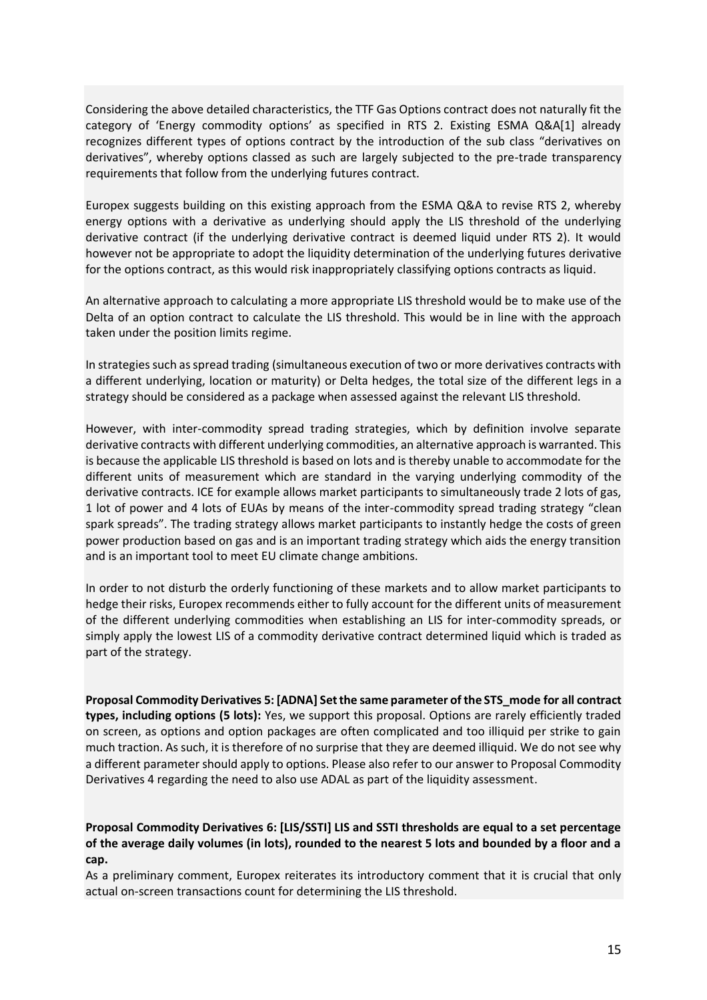Considering the above detailed characteristics, the TTF Gas Options contract does not naturally fit the category of 'Energy commodity options' as specified in RTS 2. Existing ESMA Q&A[1] already recognizes different types of options contract by the introduction of the sub class "derivatives on derivatives", whereby options classed as such are largely subjected to the pre-trade transparency requirements that follow from the underlying futures contract.

Europex suggests building on this existing approach from the ESMA Q&A to revise RTS 2, whereby energy options with a derivative as underlying should apply the LIS threshold of the underlying derivative contract (if the underlying derivative contract is deemed liquid under RTS 2). It would however not be appropriate to adopt the liquidity determination of the underlying futures derivative for the options contract, as this would risk inappropriately classifying options contracts as liquid.

An alternative approach to calculating a more appropriate LIS threshold would be to make use of the Delta of an option contract to calculate the LIS threshold. This would be in line with the approach taken under the position limits regime.

In strategies such as spread trading (simultaneous execution of two or more derivatives contracts with a different underlying, location or maturity) or Delta hedges, the total size of the different legs in a strategy should be considered as a package when assessed against the relevant LIS threshold.

However, with inter-commodity spread trading strategies, which by definition involve separate derivative contracts with different underlying commodities, an alternative approach is warranted. This is because the applicable LIS threshold is based on lots and is thereby unable to accommodate for the different units of measurement which are standard in the varying underlying commodity of the derivative contracts. ICE for example allows market participants to simultaneously trade 2 lots of gas, 1 lot of power and 4 lots of EUAs by means of the inter-commodity spread trading strategy "clean spark spreads". The trading strategy allows market participants to instantly hedge the costs of green power production based on gas and is an important trading strategy which aids the energy transition and is an important tool to meet EU climate change ambitions.

In order to not disturb the orderly functioning of these markets and to allow market participants to hedge their risks, Europex recommends either to fully account for the different units of measurement of the different underlying commodities when establishing an LIS for inter-commodity spreads, or simply apply the lowest LIS of a commodity derivative contract determined liquid which is traded as part of the strategy.

**Proposal Commodity Derivatives 5: [ADNA] Set the same parameter of the STS\_mode for all contract types, including options (5 lots):** Yes, we support this proposal. Options are rarely efficiently traded on screen, as options and option packages are often complicated and too illiquid per strike to gain much traction. As such, it is therefore of no surprise that they are deemed illiquid. We do not see why a different parameter should apply to options. Please also refer to our answer to Proposal Commodity Derivatives 4 regarding the need to also use ADAL as part of the liquidity assessment.

**Proposal Commodity Derivatives 6: [LIS/SSTI] LIS and SSTI thresholds are equal to a set percentage of the average daily volumes (in lots), rounded to the nearest 5 lots and bounded by a floor and a cap.**

As a preliminary comment, Europex reiterates its introductory comment that it is crucial that only actual on-screen transactions count for determining the LIS threshold.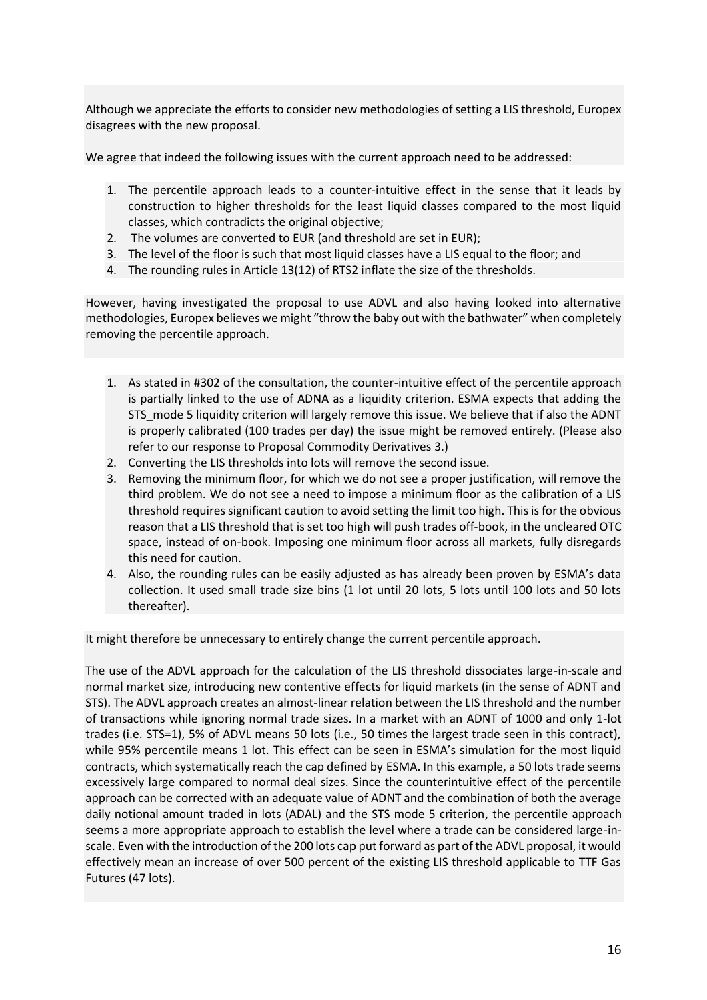Although we appreciate the efforts to consider new methodologies of setting a LIS threshold, Europex disagrees with the new proposal.

We agree that indeed the following issues with the current approach need to be addressed:

- 1. The percentile approach leads to a counter-intuitive effect in the sense that it leads by construction to higher thresholds for the least liquid classes compared to the most liquid classes, which contradicts the original objective;
- 2. The volumes are converted to EUR (and threshold are set in EUR);
- 3. The level of the floor is such that most liquid classes have a LIS equal to the floor; and
- 4. The rounding rules in Article 13(12) of RTS2 inflate the size of the thresholds.

However, having investigated the proposal to use ADVL and also having looked into alternative methodologies, Europex believes we might "throw the baby out with the bathwater" when completely removing the percentile approach.

- 1. As stated in #302 of the consultation, the counter-intuitive effect of the percentile approach is partially linked to the use of ADNA as a liquidity criterion. ESMA expects that adding the STS\_mode 5 liquidity criterion will largely remove this issue. We believe that if also the ADNT is properly calibrated (100 trades per day) the issue might be removed entirely. (Please also refer to our response to Proposal Commodity Derivatives 3.)
- 2. Converting the LIS thresholds into lots will remove the second issue.
- 3. Removing the minimum floor, for which we do not see a proper justification, will remove the third problem. We do not see a need to impose a minimum floor as the calibration of a LIS threshold requires significant caution to avoid setting the limit too high. This is for the obvious reason that a LIS threshold that is set too high will push trades off-book, in the uncleared OTC space, instead of on-book. Imposing one minimum floor across all markets, fully disregards this need for caution.
- 4. Also, the rounding rules can be easily adjusted as has already been proven by ESMA's data collection. It used small trade size bins (1 lot until 20 lots, 5 lots until 100 lots and 50 lots thereafter).

It might therefore be unnecessary to entirely change the current percentile approach.

The use of the ADVL approach for the calculation of the LIS threshold dissociates large-in-scale and normal market size, introducing new contentive effects for liquid markets (in the sense of ADNT and STS). The ADVL approach creates an almost-linear relation between the LIS threshold and the number of transactions while ignoring normal trade sizes. In a market with an ADNT of 1000 and only 1-lot trades (i.e. STS=1), 5% of ADVL means 50 lots (i.e., 50 times the largest trade seen in this contract), while 95% percentile means 1 lot. This effect can be seen in ESMA's simulation for the most liquid contracts, which systematically reach the cap defined by ESMA. In this example, a 50 lots trade seems excessively large compared to normal deal sizes. Since the counterintuitive effect of the percentile approach can be corrected with an adequate value of ADNT and the combination of both the average daily notional amount traded in lots (ADAL) and the STS mode 5 criterion, the percentile approach seems a more appropriate approach to establish the level where a trade can be considered large-inscale. Even with the introduction of the 200 lots cap put forward as part of the ADVL proposal, it would effectively mean an increase of over 500 percent of the existing LIS threshold applicable to TTF Gas Futures (47 lots).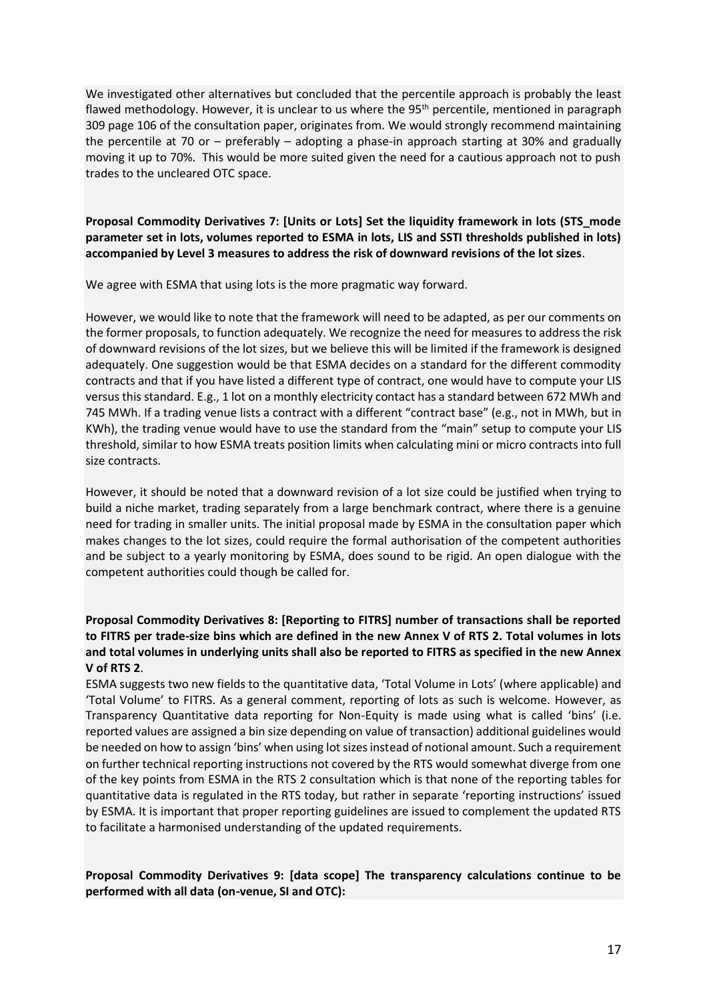We investigated other alternatives but concluded that the percentile approach is probably the least flawed methodology. However, it is unclear to us where the 95<sup>th</sup> percentile, mentioned in paragraph 309 page 106 of the consultation paper, originates from. We would strongly recommend maintaining the percentile at 70 or – preferably – adopting a phase-in approach starting at 30% and gradually moving it up to 70%. This would be more suited given the need for a cautious approach not to push trades to the uncleared OTC space.

# **Proposal Commodity Derivatives 7: [Units or Lots] Set the liquidity framework in lots (STS\_mode parameter set in lots, volumes reported to ESMA in lots, LIS and SSTI thresholds published in lots) accompanied by Level 3 measures to address the risk of downward revisions of the lot sizes**.

We agree with ESMA that using lots is the more pragmatic way forward.

However, we would like to note that the framework will need to be adapted, as per our comments on the former proposals, to function adequately. We recognize the need for measures to address the risk of downward revisions of the lot sizes, but we believe this will be limited if the framework is designed adequately. One suggestion would be that ESMA decides on a standard for the different commodity contracts and that if you have listed a different type of contract, one would have to compute your LIS versus this standard. E.g., 1 lot on a monthly electricity contact has a standard between 672 MWh and 745 MWh. If a trading venue lists a contract with a different "contract base" (e.g., not in MWh, but in KWh), the trading venue would have to use the standard from the "main" setup to compute your LIS threshold, similar to how ESMA treats position limits when calculating mini or micro contracts into full size contracts.

However, it should be noted that a downward revision of a lot size could be justified when trying to build a niche market, trading separately from a large benchmark contract, where there is a genuine need for trading in smaller units. The initial proposal made by ESMA in the consultation paper which makes changes to the lot sizes, could require the formal authorisation of the competent authorities and be subject to a yearly monitoring by ESMA, does sound to be rigid. An open dialogue with the competent authorities could though be called for.

# **Proposal Commodity Derivatives 8: [Reporting to FITRS] number of transactions shall be reported to FITRS per trade-size bins which are defined in the new Annex V of RTS 2. Total volumes in lots and total volumes in underlying units shall also be reported to FITRS as specified in the new Annex V of RTS 2**.

ESMA suggests two new fields to the quantitative data, 'Total Volume in Lots' (where applicable) and 'Total Volume' to FITRS. As a general comment, reporting of lots as such is welcome. However, as Transparency Quantitative data reporting for Non-Equity is made using what is called 'bins' (i.e. reported values are assigned a bin size depending on value of transaction) additional guidelines would be needed on how to assign 'bins' when using lot sizes instead of notional amount. Such a requirement on further technical reporting instructions not covered by the RTS would somewhat diverge from one of the key points from ESMA in the RTS 2 consultation which is that none of the reporting tables for quantitative data is regulated in the RTS today, but rather in separate 'reporting instructions' issued by ESMA. It is important that proper reporting guidelines are issued to complement the updated RTS to facilitate a harmonised understanding of the updated requirements.

# **Proposal Commodity Derivatives 9: [data scope] The transparency calculations continue to be performed with all data (on-venue, SI and OTC):**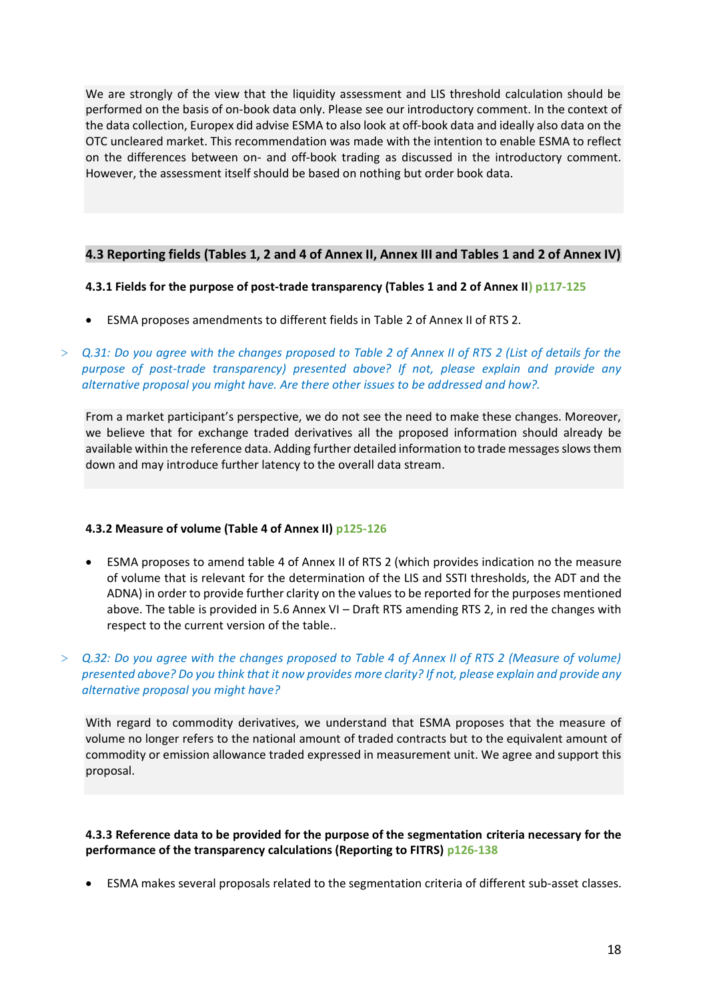We are strongly of the view that the liquidity assessment and LIS threshold calculation should be performed on the basis of on-book data only. Please see our introductory comment. In the context of the data collection, Europex did advise ESMA to also look at off-book data and ideally also data on the OTC uncleared market. This recommendation was made with the intention to enable ESMA to reflect on the differences between on- and off-book trading as discussed in the introductory comment. However, the assessment itself should be based on nothing but order book data.

# **4.3 Reporting fields (Tables 1, 2 and 4 of Annex II, Annex III and Tables 1 and 2 of Annex IV)**

### **4.3.1 Fields for the purpose of post-trade transparency (Tables 1 and 2 of Annex II) p117-125**

- ESMA proposes amendments to different fields in Table 2 of Annex II of RTS 2.
- > *Q.31: Do you agree with the changes proposed to Table 2 of Annex II of RTS 2 (List of details for the purpose of post-trade transparency) presented above? If not, please explain and provide any alternative proposal you might have. Are there other issues to be addressed and how?.*

From a market participant's perspective, we do not see the need to make these changes. Moreover, we believe that for exchange traded derivatives all the proposed information should already be available within the reference data. Adding further detailed information to trade messages slows them down and may introduce further latency to the overall data stream.

# **4.3.2 Measure of volume (Table 4 of Annex II) p125-126**

- ESMA proposes to amend table 4 of Annex II of RTS 2 (which provides indication no the measure of volume that is relevant for the determination of the LIS and SSTI thresholds, the ADT and the ADNA) in order to provide further clarity on the values to be reported for the purposes mentioned above. The table is provided in 5.6 Annex VI – Draft RTS amending RTS 2, in red the changes with respect to the current version of the table..
- > *Q.32: Do you agree with the changes proposed to Table 4 of Annex II of RTS 2 (Measure of volume) presented above? Do you think that it now provides more clarity? If not, please explain and provide any alternative proposal you might have?*

With regard to commodity derivatives, we understand that ESMA proposes that the measure of volume no longer refers to the national amount of traded contracts but to the equivalent amount of commodity or emission allowance traded expressed in measurement unit. We agree and support this proposal.

# **4.3.3 Reference data to be provided for the purpose of the segmentation criteria necessary for the performance of the transparency calculations (Reporting to FITRS) p126-138**

• ESMA makes several proposals related to the segmentation criteria of different sub-asset classes.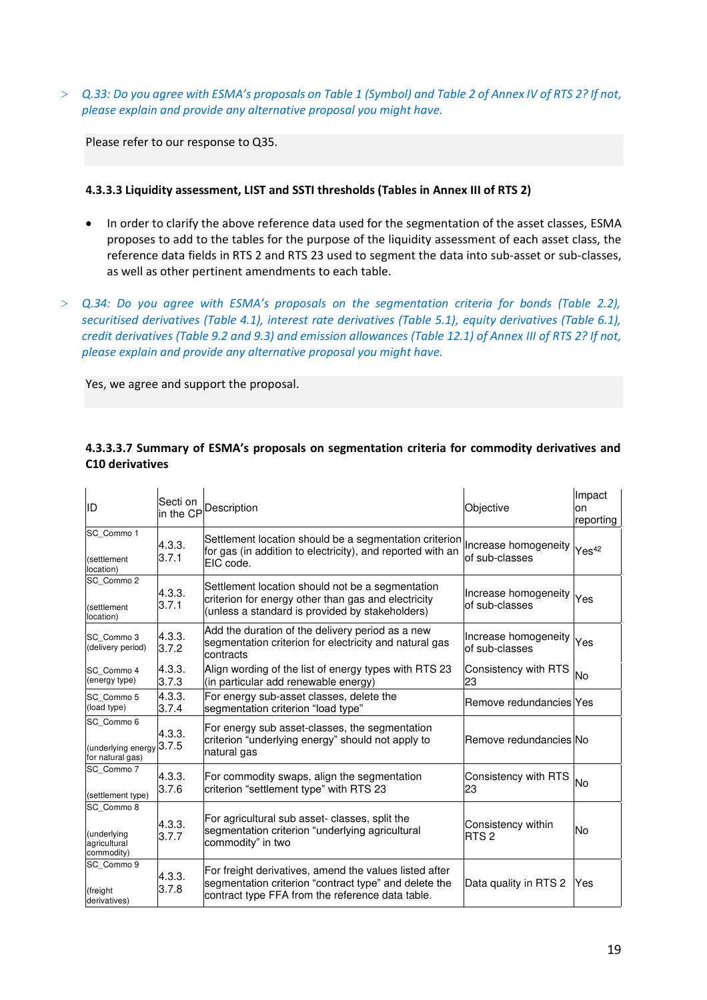> *Q.33: Do you agree with ESMA's proposals on Table 1 (Symbol) and Table 2 of Annex IV of RTS 2? If not, please explain and provide any alternative proposal you might have.* 

Please refer to our response to Q35.

#### **4.3.3.3 Liquidity assessment, LIST and SSTI thresholds (Tables in Annex III of RTS 2)**

- In order to clarify the above reference data used for the segmentation of the asset classes, ESMA proposes to add to the tables for the purpose of the liquidity assessment of each asset class, the reference data fields in RTS 2 and RTS 23 used to segment the data into sub-asset or sub-classes, as well as other pertinent amendments to each table.
- > *Q.34: Do you agree with ESMA's proposals on the segmentation criteria for bonds (Table 2.2), securitised derivatives (Table 4.1), interest rate derivatives (Table 5.1), equity derivatives (Table 6.1), credit derivatives (Table 9.2 and 9.3) and emission allowances (Table 12.1) of Annex III of RTS 2? If not, please explain and provide any alternative proposal you might have.*

Yes, we agree and support the proposal.

| ID                                                      | Secti on<br>in the CP | Description                                                                                                                                                         | Objective                               | Impact<br>on<br>reporting |
|---------------------------------------------------------|-----------------------|---------------------------------------------------------------------------------------------------------------------------------------------------------------------|-----------------------------------------|---------------------------|
| SC Commo 1<br>(settlement<br>location)                  | 4.3.3.<br>3.7.1       | Settlement location should be a segmentation criterion<br>for gas (in addition to electricity), and reported with an<br>EIC code.                                   | Increase homogeneity<br>lof sub-classes | Yes <sup>42</sup>         |
| SC Commo 2<br>(settlement<br>location)                  | 4.3.3.<br>3.7.1       | Settlement location should not be a segmentation<br>criterion for energy other than gas and electricity<br>(unless a standard is provided by stakeholders)          | Increase homogeneity<br>of sub-classes  | Yes                       |
| SC Commo 3<br>(delivery period)                         | 4.3.3.<br>3.7.2       | Add the duration of the delivery period as a new<br>segmentation criterion for electricity and natural gas<br>contracts                                             | Increase homogeneity<br>of sub-classes  | Yes                       |
| SC Commo 4<br>(energy type)                             | 4.3.3.<br>3.7.3       | Align wording of the list of energy types with RTS 23<br>(in particular add renewable energy)                                                                       | Consistency with RTS<br>23              | No                        |
| SC Commo 5<br>(load type)                               | 4.3.3.<br>3.7.4       | For energy sub-asset classes, delete the<br>segmentation criterion "load type"                                                                                      | Remove redundancies lYes                |                           |
| SC Commo 6<br>(underlying energy<br>for natural gas)    | 4.3.3.<br>3.7.5       | For energy sub asset-classes, the segmentation<br>criterion "underlying energy" should not apply to<br>natural gas                                                  | Remove redundancies No                  |                           |
| SC Commo 7<br>(settlement type)                         | 4.3.3.<br>3.7.6       | For commodity swaps, align the segmentation<br>criterion "settlement type" with RTS 23                                                                              | Consistency with RTS<br>23              | No                        |
| SC Commo 8<br>(underlying<br>agricultural<br>commodity) | 4.3.3.<br>3.7.7       | For agricultural sub asset- classes, split the<br>segmentation criterion "underlying agricultural<br>commodity" in two                                              | Consistency within<br>RTS <sub>2</sub>  | No                        |
| SC Commo 9<br>(freight<br>derivatives)                  | 4.3.3.<br>3.7.8       | For freight derivatives, amend the values listed after<br>segmentation criterion "contract type" and delete the<br>contract type FFA from the reference data table. | Data quality in RTS 2                   | Yes                       |

#### **4.3.3.3.7 Summary of ESMA's proposals on segmentation criteria for commodity derivatives and C10 derivatives**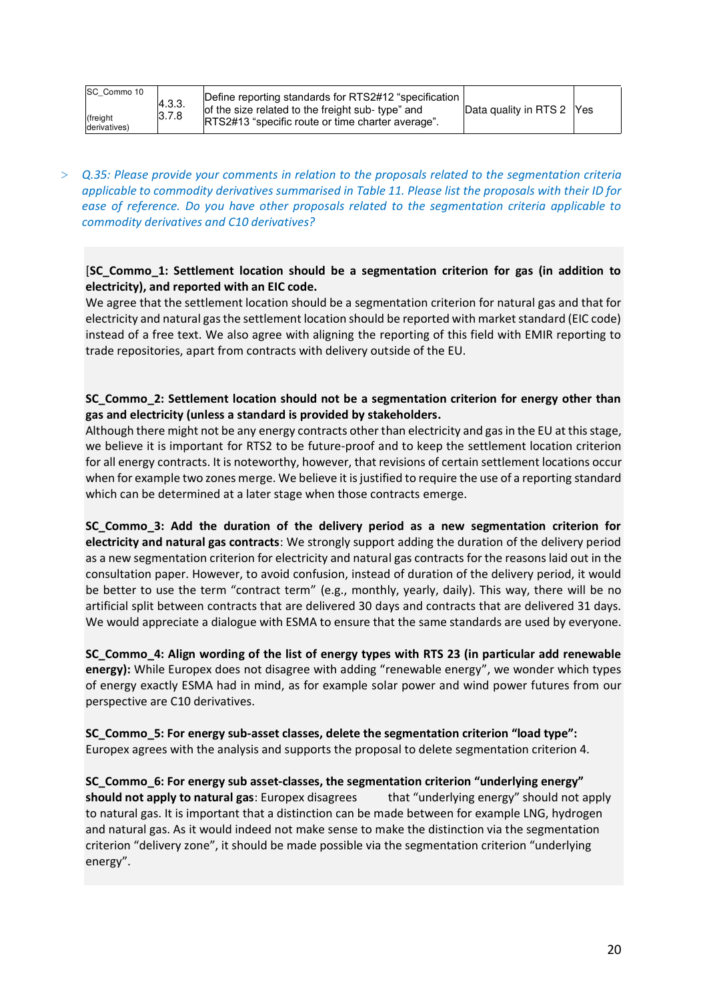| SC Commo 10  |        |
|--------------|--------|
|              | 4.3.3. |
| (freight     | 3.7.8  |
| derivatives) |        |

> *Q.35: Please provide your comments in relation to the proposals related to the segmentation criteria applicable to commodity derivatives summarised in Table 11. Please list the proposals with their ID for ease of reference. Do you have other proposals related to the segmentation criteria applicable to commodity derivatives and C10 derivatives?* 

# [**SC\_Commo\_1: Settlement location should be a segmentation criterion for gas (in addition to electricity), and reported with an EIC code.**

We agree that the settlement location should be a segmentation criterion for natural gas and that for electricity and natural gas the settlement location should be reported with market standard (EIC code) instead of a free text. We also agree with aligning the reporting of this field with EMIR reporting to trade repositories, apart from contracts with delivery outside of the EU.

# **SC\_Commo\_2: Settlement location should not be a segmentation criterion for energy other than gas and electricity (unless a standard is provided by stakeholders.**

Although there might not be any energy contracts other than electricity and gas in the EU at this stage, we believe it is important for RTS2 to be future-proof and to keep the settlement location criterion for all energy contracts. It is noteworthy, however, that revisions of certain settlement locations occur when for example two zones merge. We believe it is justified to require the use of a reporting standard which can be determined at a later stage when those contracts emerge.

**SC\_Commo\_3: Add the duration of the delivery period as a new segmentation criterion for electricity and natural gas contracts**: We strongly support adding the duration of the delivery period as a new segmentation criterion for electricity and natural gas contracts for the reasons laid out in the consultation paper. However, to avoid confusion, instead of duration of the delivery period, it would be better to use the term "contract term" (e.g., monthly, yearly, daily). This way, there will be no artificial split between contracts that are delivered 30 days and contracts that are delivered 31 days. We would appreciate a dialogue with ESMA to ensure that the same standards are used by everyone.

**SC\_Commo\_4: Align wording of the list of energy types with RTS 23 (in particular add renewable energy):** While Europex does not disagree with adding "renewable energy", we wonder which types of energy exactly ESMA had in mind, as for example solar power and wind power futures from our perspective are C10 derivatives.

**SC\_Commo\_5: For energy sub-asset classes, delete the segmentation criterion "load type":** Europex agrees with the analysis and supports the proposal to delete segmentation criterion 4.

**SC\_Commo\_6: For energy sub asset-classes, the segmentation criterion "underlying energy" should not apply to natural gas**: Europex disagrees that "underlying energy" should not apply to natural gas. It is important that a distinction can be made between for example LNG, hydrogen and natural gas. As it would indeed not make sense to make the distinction via the segmentation criterion "delivery zone", it should be made possible via the segmentation criterion "underlying energy".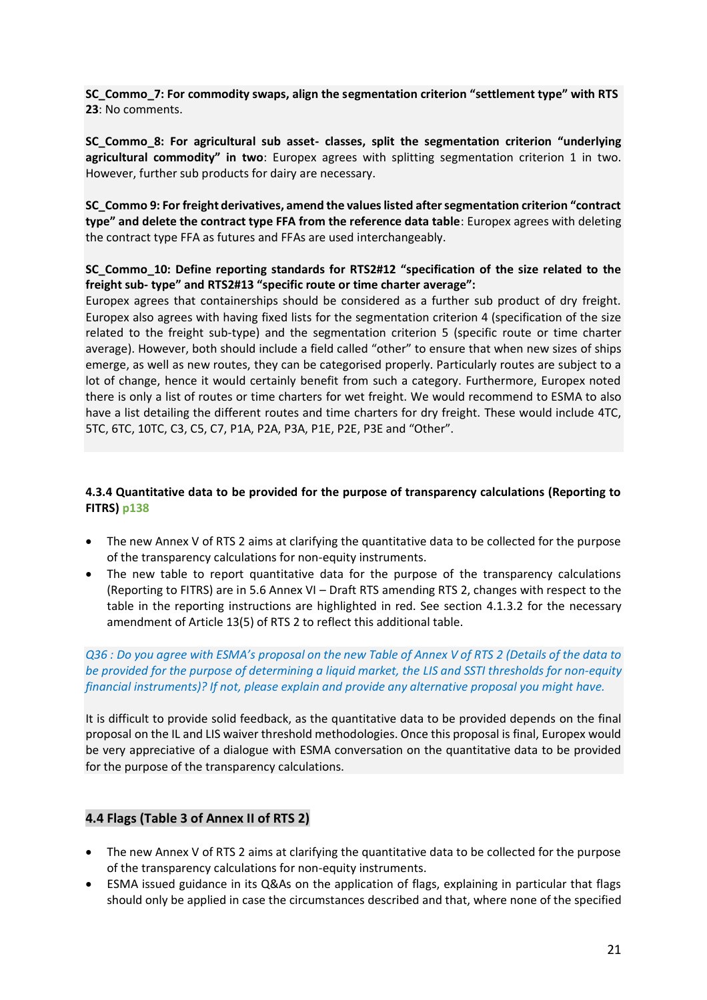**SC\_Commo\_7: For commodity swaps, align the segmentation criterion "settlement type" with RTS 23**: No comments.

**SC\_Commo\_8: For agricultural sub asset- classes, split the segmentation criterion "underlying agricultural commodity" in two**: Europex agrees with splitting segmentation criterion 1 in two. However, further sub products for dairy are necessary.

**SC\_Commo 9: For freight derivatives, amend the values listed after segmentation criterion "contract type" and delete the contract type FFA from the reference data table**: Europex agrees with deleting the contract type FFA as futures and FFAs are used interchangeably.

### **SC\_Commo\_10: Define reporting standards for RTS2#12 "specification of the size related to the freight sub- type" and RTS2#13 "specific route or time charter average":**

Europex agrees that containerships should be considered as a further sub product of dry freight. Europex also agrees with having fixed lists for the segmentation criterion 4 (specification of the size related to the freight sub-type) and the segmentation criterion 5 (specific route or time charter average). However, both should include a field called "other" to ensure that when new sizes of ships emerge, as well as new routes, they can be categorised properly. Particularly routes are subject to a lot of change, hence it would certainly benefit from such a category. Furthermore, Europex noted there is only a list of routes or time charters for wet freight. We would recommend to ESMA to also have a list detailing the different routes and time charters for dry freight. These would include 4TC, 5TC, 6TC, 10TC, C3, C5, C7, P1A, P2A, P3A, P1E, P2E, P3E and "Other".

### **4.3.4 Quantitative data to be provided for the purpose of transparency calculations (Reporting to FITRS) p138**

- The new Annex V of RTS 2 aims at clarifying the quantitative data to be collected for the purpose of the transparency calculations for non-equity instruments.
- The new table to report quantitative data for the purpose of the transparency calculations (Reporting to FITRS) are in 5.6 Annex VI – Draft RTS amending RTS 2, changes with respect to the table in the reporting instructions are highlighted in red. See section 4.1.3.2 for the necessary amendment of Article 13(5) of RTS 2 to reflect this additional table.

### *Q36 : Do you agree with ESMA's proposal on the new Table of Annex V of RTS 2 (Details of the data to be provided for the purpose of determining a liquid market, the LIS and SSTI thresholds for non-equity financial instruments)? If not, please explain and provide any alternative proposal you might have.*

It is difficult to provide solid feedback, as the quantitative data to be provided depends on the final proposal on the IL and LIS waiver threshold methodologies. Once this proposal is final, Europex would be very appreciative of a dialogue with ESMA conversation on the quantitative data to be provided for the purpose of the transparency calculations.

# **4.4 Flags (Table 3 of Annex II of RTS 2)**

- The new Annex V of RTS 2 aims at clarifying the quantitative data to be collected for the purpose of the transparency calculations for non-equity instruments.
- ESMA issued guidance in its Q&As on the application of flags, explaining in particular that flags should only be applied in case the circumstances described and that, where none of the specified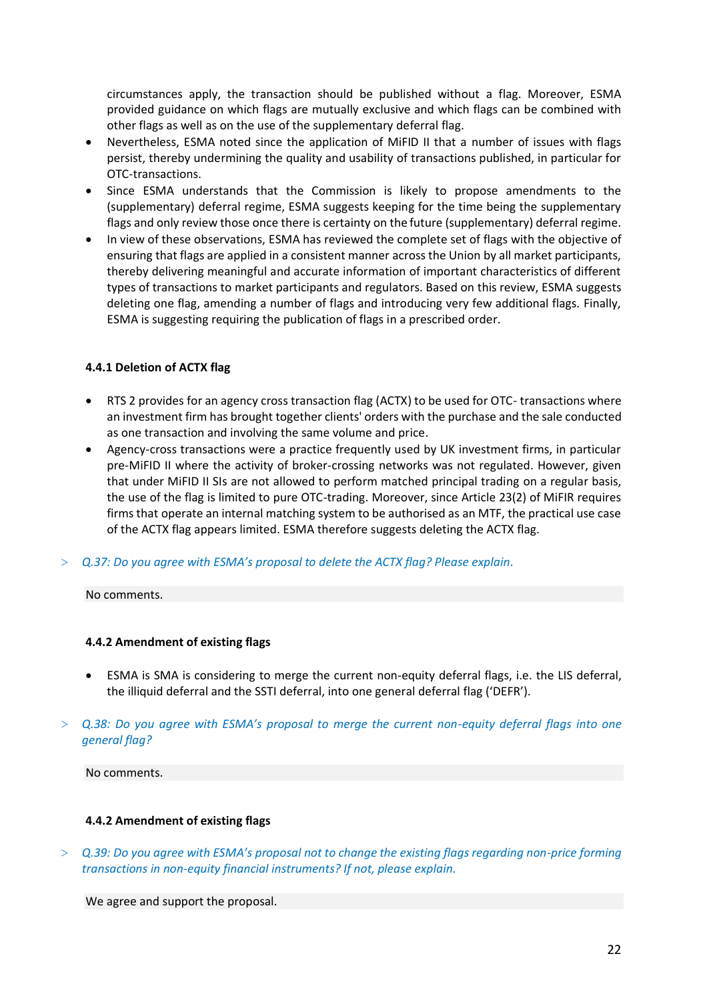circumstances apply, the transaction should be published without a flag. Moreover, ESMA provided guidance on which flags are mutually exclusive and which flags can be combined with other flags as well as on the use of the supplementary deferral flag.

- Nevertheless, ESMA noted since the application of MiFID II that a number of issues with flags persist, thereby undermining the quality and usability of transactions published, in particular for OTC-transactions.
- Since ESMA understands that the Commission is likely to propose amendments to the (supplementary) deferral regime, ESMA suggests keeping for the time being the supplementary flags and only review those once there is certainty on the future (supplementary) deferral regime.
- In view of these observations, ESMA has reviewed the complete set of flags with the objective of ensuring that flags are applied in a consistent manner across the Union by all market participants, thereby delivering meaningful and accurate information of important characteristics of different types of transactions to market participants and regulators. Based on this review, ESMA suggests deleting one flag, amending a number of flags and introducing very few additional flags. Finally, ESMA is suggesting requiring the publication of flags in a prescribed order.

### **4.4.1 Deletion of ACTX flag**

- RTS 2 provides for an agency cross transaction flag (ACTX) to be used for OTC- transactions where an investment firm has brought together clients' orders with the purchase and the sale conducted as one transaction and involving the same volume and price.
- Agency-cross transactions were a practice frequently used by UK investment firms, in particular pre-MiFID II where the activity of broker-crossing networks was not regulated. However, given that under MiFID II SIs are not allowed to perform matched principal trading on a regular basis, the use of the flag is limited to pure OTC-trading. Moreover, since Article 23(2) of MiFIR requires firms that operate an internal matching system to be authorised as an MTF, the practical use case of the ACTX flag appears limited. ESMA therefore suggests deleting the ACTX flag.
- > *Q.37: Do you agree with ESMA's proposal to delete the ACTX flag? Please explain.*

#### No comments.

#### **4.4.2 Amendment of existing flags**

- ESMA is SMA is considering to merge the current non-equity deferral flags, i.e. the LIS deferral, the illiquid deferral and the SSTI deferral, into one general deferral flag ('DEFR').
- > *Q.38: Do you agree with ESMA's proposal to merge the current non-equity deferral flags into one general flag?*

No comments.

#### **4.4.2 Amendment of existing flags**

> *Q.39: Do you agree with ESMA's proposal not to change the existing flags regarding non-price forming transactions in non-equity financial instruments? If not, please explain.* 

We agree and support the proposal.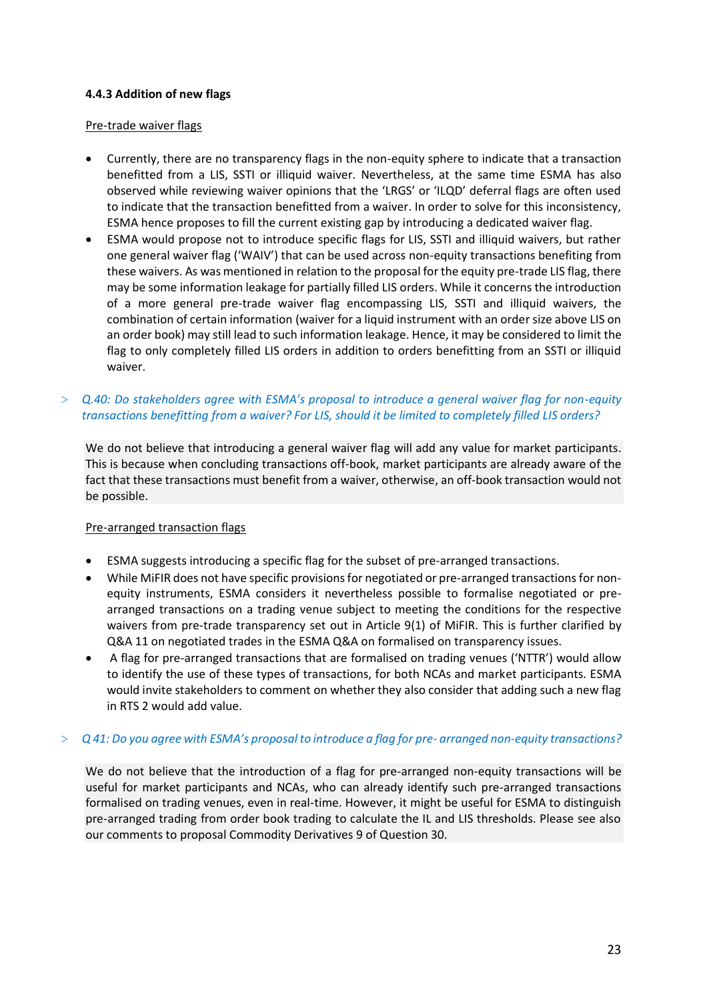### **4.4.3 Addition of new flags**

#### Pre-trade waiver flags

- Currently, there are no transparency flags in the non-equity sphere to indicate that a transaction benefitted from a LIS, SSTI or illiquid waiver. Nevertheless, at the same time ESMA has also observed while reviewing waiver opinions that the 'LRGS' or 'ILQD' deferral flags are often used to indicate that the transaction benefitted from a waiver. In order to solve for this inconsistency, ESMA hence proposes to fill the current existing gap by introducing a dedicated waiver flag.
- ESMA would propose not to introduce specific flags for LIS, SSTI and illiquid waivers, but rather one general waiver flag ('WAIV') that can be used across non-equity transactions benefiting from these waivers. As was mentioned in relation to the proposal for the equity pre-trade LIS flag, there may be some information leakage for partially filled LIS orders. While it concerns the introduction of a more general pre-trade waiver flag encompassing LIS, SSTI and illiquid waivers, the combination of certain information (waiver for a liquid instrument with an order size above LIS on an order book) may still lead to such information leakage. Hence, it may be considered to limit the flag to only completely filled LIS orders in addition to orders benefitting from an SSTI or illiquid waiver.

### > *Q.40: Do stakeholders agree with ESMA's proposal to introduce a general waiver flag for non-equity transactions benefitting from a waiver? For LIS, should it be limited to completely filled LIS orders?*

We do not believe that introducing a general waiver flag will add any value for market participants. This is because when concluding transactions off-book, market participants are already aware of the fact that these transactions must benefit from a waiver, otherwise, an off-book transaction would not be possible.

#### Pre-arranged transaction flags

- ESMA suggests introducing a specific flag for the subset of pre-arranged transactions.
- While MiFIR does not have specific provisions for negotiated or pre-arranged transactions for nonequity instruments, ESMA considers it nevertheless possible to formalise negotiated or prearranged transactions on a trading venue subject to meeting the conditions for the respective waivers from pre-trade transparency set out in Article 9(1) of MiFIR. This is further clarified by Q&A 11 on negotiated trades in the ESMA Q&A on formalised on transparency issues.
- A flag for pre-arranged transactions that are formalised on trading venues ('NTTR') would allow to identify the use of these types of transactions, for both NCAs and market participants. ESMA would invite stakeholders to comment on whether they also consider that adding such a new flag in RTS 2 would add value.

#### > *Q 41: Do you agree with ESMA's proposal to introduce a flag for pre- arranged non-equity transactions?*

We do not believe that the introduction of a flag for pre-arranged non-equity transactions will be useful for market participants and NCAs, who can already identify such pre-arranged transactions formalised on trading venues, even in real-time. However, it might be useful for ESMA to distinguish pre-arranged trading from order book trading to calculate the IL and LIS thresholds. Please see also our comments to proposal Commodity Derivatives 9 of Question 30.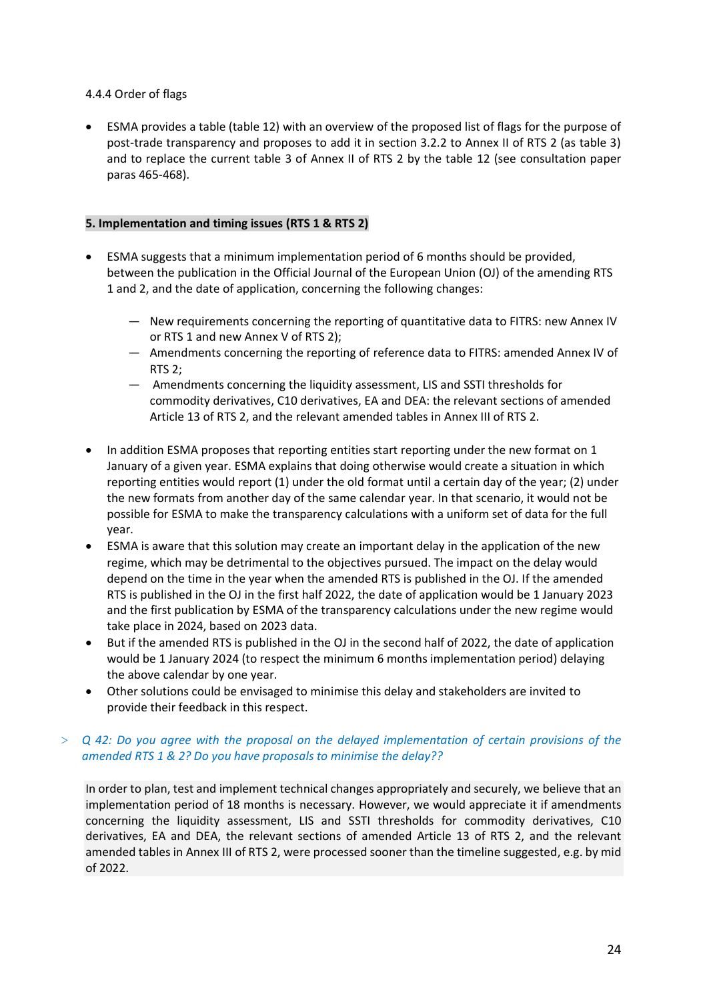### 4.4.4 Order of flags

• ESMA provides a table (table 12) with an overview of the proposed list of flags for the purpose of post-trade transparency and proposes to add it in section 3.2.2 to Annex II of RTS 2 (as table 3) and to replace the current table 3 of Annex II of RTS 2 by the table 12 (see consultation paper paras 465-468).

### **5. Implementation and timing issues (RTS 1 & RTS 2)**

- ESMA suggests that a minimum implementation period of 6 months should be provided, between the publication in the Official Journal of the European Union (OJ) of the amending RTS 1 and 2, and the date of application, concerning the following changes:
	- New requirements concerning the reporting of quantitative data to FITRS: new Annex IV or RTS 1 and new Annex V of RTS 2);
	- Amendments concerning the reporting of reference data to FITRS: amended Annex IV of RTS 2;
	- Amendments concerning the liquidity assessment, LIS and SSTI thresholds for commodity derivatives, C10 derivatives, EA and DEA: the relevant sections of amended Article 13 of RTS 2, and the relevant amended tables in Annex III of RTS 2.
- In addition ESMA proposes that reporting entities start reporting under the new format on 1 January of a given year. ESMA explains that doing otherwise would create a situation in which reporting entities would report (1) under the old format until a certain day of the year; (2) under the new formats from another day of the same calendar year. In that scenario, it would not be possible for ESMA to make the transparency calculations with a uniform set of data for the full year.
- ESMA is aware that this solution may create an important delay in the application of the new regime, which may be detrimental to the objectives pursued. The impact on the delay would depend on the time in the year when the amended RTS is published in the OJ. If the amended RTS is published in the OJ in the first half 2022, the date of application would be 1 January 2023 and the first publication by ESMA of the transparency calculations under the new regime would take place in 2024, based on 2023 data.
- But if the amended RTS is published in the OJ in the second half of 2022, the date of application would be 1 January 2024 (to respect the minimum 6 months implementation period) delaying the above calendar by one year.
- Other solutions could be envisaged to minimise this delay and stakeholders are invited to provide their feedback in this respect.

### > *Q 42: Do you agree with the proposal on the delayed implementation of certain provisions of the amended RTS 1 & 2? Do you have proposals to minimise the delay??*

In order to plan, test and implement technical changes appropriately and securely, we believe that an implementation period of 18 months is necessary. However, we would appreciate it if amendments concerning the liquidity assessment, LIS and SSTI thresholds for commodity derivatives, C10 derivatives, EA and DEA, the relevant sections of amended Article 13 of RTS 2, and the relevant amended tables in Annex III of RTS 2, were processed sooner than the timeline suggested, e.g. by mid of 2022.